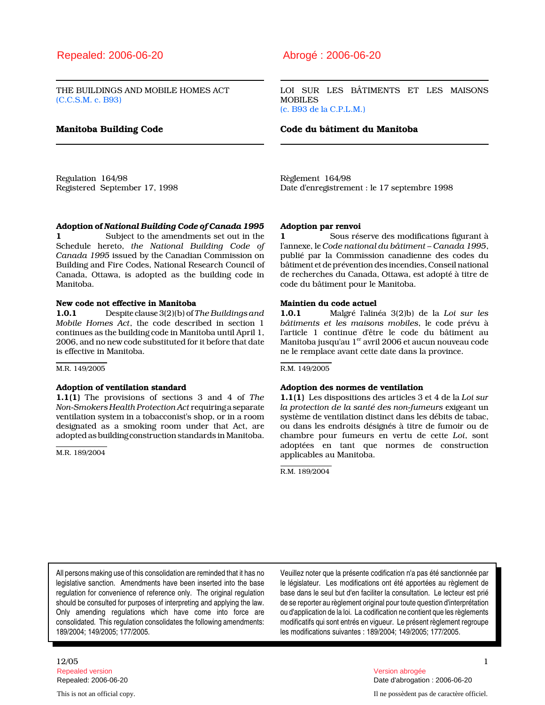# Repealed: 2006-06-20 Abrogé : 2006-06-20

THE BUILDINGS AND MOBILE HOMES ACT (C.C.S.M. c. B93)

## Manitoba Building Code

LOI SUR LES BÂTIMENTS ET LES MAISONS MOBILES (c. B93 de la C.P.L.M.)

#### Code du bâtiment du Manitoba

Regulation 164/98 Registered September 17, 1998 Règlement 164/98 Date d'enregistrement : le 17 septembre 1998

### Adoption of National Building Code of Canada 1995

1 Subject to the amendments set out in the Schedule hereto, the National Building Code of Canada 1995 issued by the Canadian Commission on Building and Fire Codes, National Research Council of Canada, Ottawa, is adopted as the building code in Manitoba.

## New code not effective in Manitoba

1.0.1 Despite clause 3(2)(b) of The Buildings and Mobile Homes Act, the code described in section 1 continues as the building code in Manitoba until April 1, 2006, and no new code substituted for it before that date is effective in Manitoba.

M.R. 149/2005

#### Adoption of ventilation standard

1.1(1) The provisions of sections 3 and 4 of The Non-Smokers Health Protection Act requiring a separate ventilation system in a tobacconist's shop, or in a room designated as a smoking room under that Act, are adopted as building construction standards in Manitoba.

M.R. 189/2004

## Adoption par renvoi

1 Sous réserve des modifications figurant à l'annexe, le Code national du bâtiment – Canada 1995, publié par la Commission canadienne des codes du bâtiment et de prévention des incendies, Conseil national de recherches du Canada, Ottawa, est adopté à titre de code du bâtiment pour le Manitoba.

### Maintien du code actuel

1.0.1 Malgré l'alinéa 3(2)b) de la Loi sur les bâtiments et les maisons mobiles, le code prévu à l'article 1 continue d'être le code du bâtiment au Manitoba jusqu'au 1<sup>er</sup> avril 2006 et aucun nouveau code ne le remplace avant cette date dans la province.

R.M. 149/2005

#### Adoption des normes de ventilation

1.1(1) Les dispositions des articles 3 et 4 de la Loi sur la protection de la santé des non-fumeurs exigeant un système de ventilation distinct dans les débits de tabac, ou dans les endroits désignés à titre de fumoir ou de chambre pour fumeurs en vertu de cette Loi, sont adoptées en tant que normes de construction applicables au Manitoba.

R.M. 189/2004

All persons making use of this consolidation are reminded that it has no legislative sanction. Amendments have been inserted into the base regulation for convenience of reference only. The original regulation should be consulted for purposes of interpreting and applying the law. Only amending regulations which have come into force are consolidated. This regulation consolidates the following amendments: 189/2004; 149/2005; 177/2005.

Veuillez noter que la présente codification n'a pas été sanctionnée par le législateur. Les modifications ont été apportées au règlement de base dans le seul but d'en faciliter la consultation. Le lecteur est prié de se reporter au règlement original pour toute question d'interprétation ou d'application de la loi. La codification ne contient que les règlements modificatifs qui sont entrés en vigueur. Le présent règlement regroupe les modifications suivantes : 189/2004; 149/2005; 177/2005.

#### $12/05$  and  $1$

Repealed version Version abrogée

Repealed: 2006-06-20 Date d'abrogation : 2006-06-20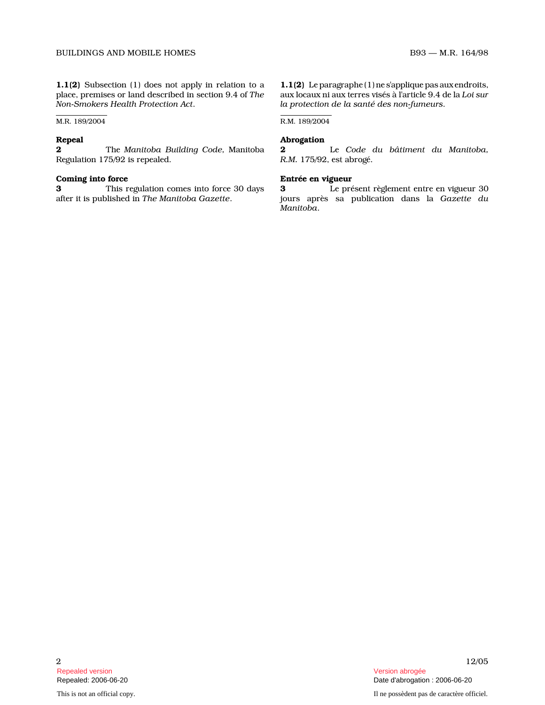1.1(2) Subsection (1) does not apply in relation to a place, premises or land described in section 9.4 of The Non-Smokers Health Protection Act .

#### M.R. 189/2004

#### Repeal

2 The Manitoba Building Code, Manitoba Regulation 175/92 is repealed.

#### Coming into force

3 This regulation comes into force 30 days after it is published in The Manitoba Gazette .

1.1(2) Le paragraphe (1) ne s'applique pas aux endroits, aux locaux ni aux terres visés à l'article 9.4 de la Loi sur la protection de la santé des non-fumeurs .

R.M. 189/2004

#### Abrogation

2 Le Code du bâtiment du Manitoba, R.M. 175/92, est abrogé.

#### Entrée en vigueur

3 Le présent règlement entre en vigueur 30 jours après sa publication dans la Gazette du Manitoba .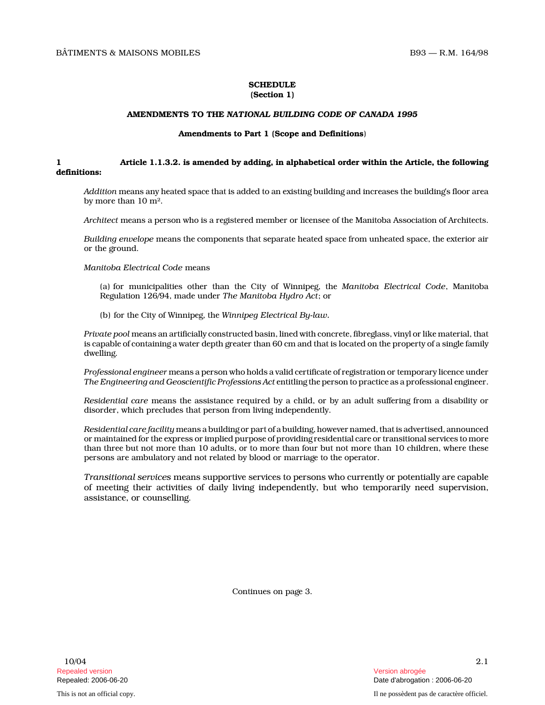#### **SCHEDULE** (Section 1)

## AMENDMENTS TO THE NATIONAL BUILDING CODE OF CANADA 1995

# Amendments to Part 1 (Scope and Definitions )

## 1 Article 1.1.3.2. is amended by adding, in alphabetical order within the Article, the following definitions:

Addition means any heated space that is added to an existing building and increases the building's floor area by more than 10 m².

Architect means a person who is a registered member or licensee of the Manitoba Association of Architects.

Building envelope means the components that separate heated space from unheated space, the exterior air or the ground.

Manitoba Electrical Code means

- (a) for municipalities other than the City of Winnipeg, the Manitoba Electrical Code, Manitoba Regulation 126/94, made under The Manitoba Hydro Act; or
- (b) for the City of Winnipeg, the Winnipeg Electrical By-law.

Private pool means an artificially constructed basin, lined with concrete, fibreglass, vinyl or like material, tha t is capable of containing a water depth greater than 60 cm and that is located on the property of a single family dwelling.

Professional engineer means a person who holds a valid certificate of registration or temporary licence under The Engineering and Geoscientific Professions Act entitling the person to practice as a professional engineer.

Residential care means the assistance required by a child, or by an adult suffering from a disability or disorder, which precludes that person from living independently.

Residential care facility means a building or part of a building, however named, that is advertised, announced or maintained for the express or implied purpose of providing residential care or transitional services to more than three but not more than 10 adults, or to more than four but not more than 10 children, where thes e persons are ambulatory and not related by blood or marriage to the operator.

Transitional services means supportive services to persons who currently or potentially are capable of meeting their activities of daily living independently, but who temporarily need supervision, assistance, or counselling .

Continues on page 3.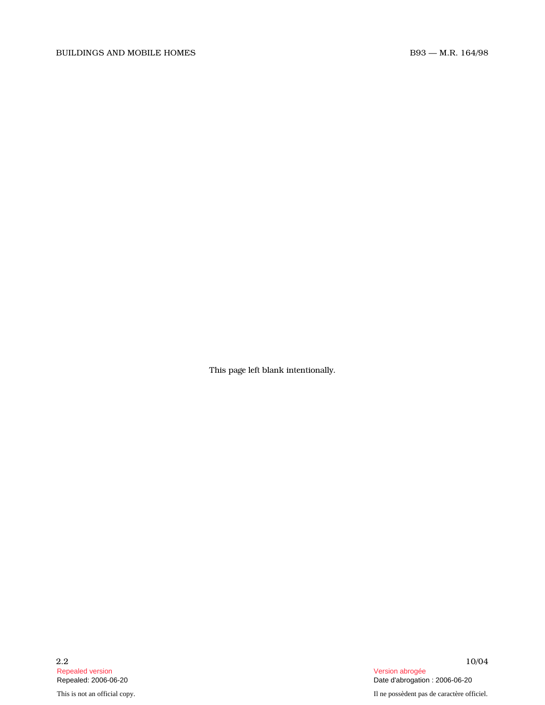This page left blank intentionally.

2.2 10/04 Date d'abrogation : 2006-06-20 This is not an official copy. Il ne possèdent pas de caractère officiel.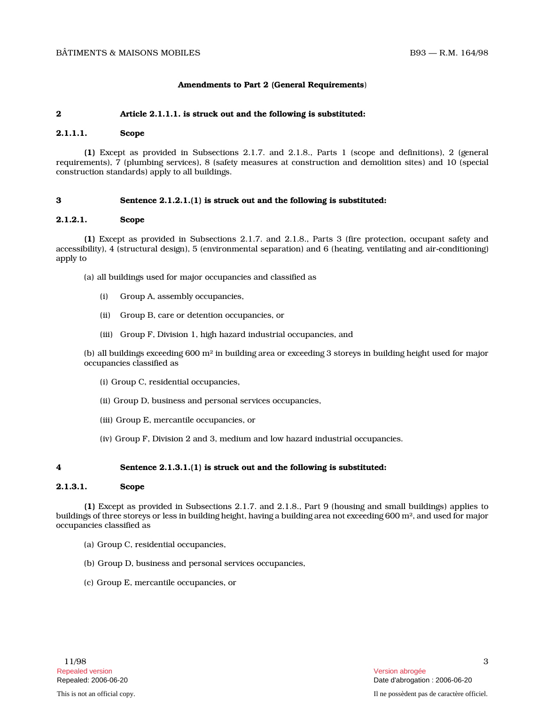## Amendments to Part 2 (General Requirements )

### 2 Article 2.1.1.1. is struck out and the following is substituted:

## 2.1.1.1. Scope

(1) Except as provided in Subsections 2.1.7. and 2.1.8., Parts 1 (scope and definitions), 2 (general requirements), 7 (plumbing services), 8 (safety measures at construction and demolition sites) and 10 (special construction standards) apply to all buildings.

## 3 Sentence 2.1.2.1.(1) is struck out and the following is substituted:

## 2.1.2.1. Scope

(1) Except as provided in Subsections 2.1.7. and 2.1.8., Parts 3 (fire protection, occupant safety and accessibility), 4 (structural design), 5 (environmental separation) and 6 (heating, ventilating and air-conditioning) apply to

- (a) all buildings used for major occupancies and classified as
	- (i) Group A, assembly occupancies,
	- (ii) Group B, care or detention occupancies, or
	- (iii) Group F, Division 1, high hazard industrial occupancies, and

(b) all buildings exceeding 600 m² in building area or exceeding 3 storeys in building height used for major occupancies classified as

- (i) Group C, residential occupancies,
- (ii) Group D, business and personal services occupancies,
- (iii) Group E, mercantile occupancies, or
- (iv) Group F, Division 2 and 3, medium and low hazard industrial occupancies.

#### 4 Sentence 2.1.3.1.(1) is struck out and the following is substituted:

#### 2.1.3.1. Scope

(1) Except as provided in Subsections 2.1.7. and 2.1.8., Part 9 (housing and small buildings) applies to buildings of three storeys or less in building height, having a building area not exceeding 600 m², and used for major occupancies classified as

- (a) Group C, residential occupancies,
- (b) Group D, business and personal services occupancies,
- (c) Group E, mercantile occupancies, or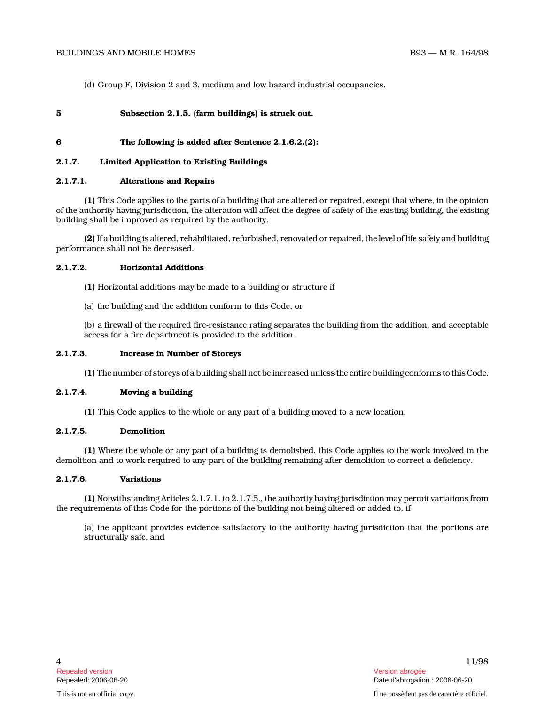(d) Group F, Division 2 and 3, medium and low hazard industrial occupancies.

## 5 Subsection 2.1.5. (farm buildings) is struck out.

## 6 The following is added after Sentence 2.1.6.2.(2):

## 2.1.7. Limited Application to Existing Buildings

#### 2.1.7.1. Alterations and Repairs

(1) This Code applies to the parts of a building that are altered or repaired, except that where, in the opinion of the authority having jurisdiction, the alteration will affect the degree of safety of the existing building, the existing building shall be improved as required by the authority.

(2) If a building is altered, rehabilitated, refurbished, renovated or repaired, the level of life safety and building performance shall not be decreased.

#### 2.1.7.2. Horizontal Additions

(1) Horizontal additions may be made to a building or structure if

(a) the building and the addition conform to this Code, or

(b) a firewall of the required fire-resistance rating separates the building from the addition, and acceptable access for a fire department is provided to the addition.

## 2.1.7.3. Increase in Number of Storeys

(1) The number of storeys of a building shall not be increased unless the entire building conforms to this Code.

## 2.1.7.4. Moving a building

(1) This Code applies to the whole or any part of a building moved to a new location.

# 2.1.7.5. Demolition

(1) Where the whole or any part of a building is demolished, this Code applies to the work involved in th e demolition and to work required to any part of the building remaining after demolition to correct a deficiency.

### 2.1.7.6. Variations

(1) Notwithstanding Articles 2.1.7.1. to 2.1.7.5., the authority having jurisdiction may permit variations from the requirements of this Code for the portions of the building not being altered or added to, if

(a) the applicant provides evidence satisfactory to the authority having jurisdiction that the portions are structurally safe, and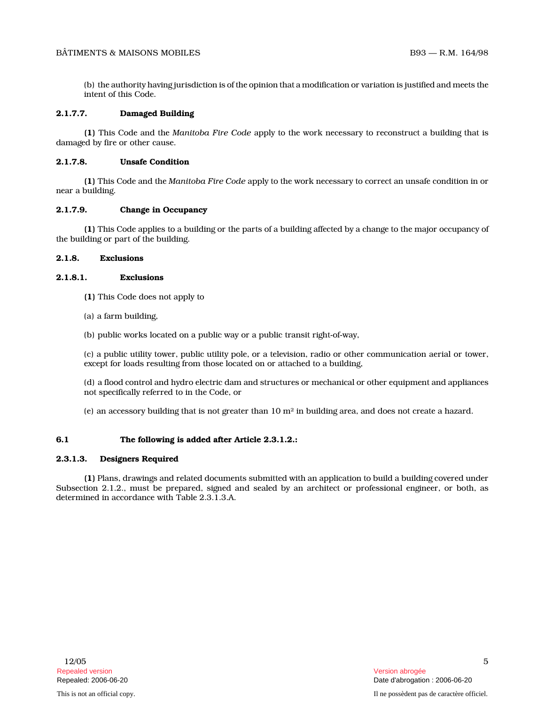(b) the authority having jurisdiction is of the opinion that a modification or variation is justified and meets the intent of this Code.

# 2.1.7.7. Damaged Building

(1) This Code and the Manitoba Fire Code apply to the work necessary to reconstruct a building that is damaged by fire or other cause.

# 2.1.7.8. Unsafe Condition

(1) This Code and the Manitoba Fire Code apply to the work necessary to correct an unsafe condition in or near a building.

# 2.1.7.9. Change in Occupancy

(1) This Code applies to a building or the parts of a building affected by a change to the major occupancy of the building or part of the building.

# 2.1.8. Exclusions

## 2.1.8.1. Exclusions

- (1) This Code does not apply to
- (a) a farm building,
- (b) public works located on a public way or a public transit right-of-way,

(c) a public utility tower, public utility pole, or a television, radio or other communication aerial or tower, except for loads resulting from those located on or attached to a building,

(d) a flood control and hydro electric dam and structures or mechanical or other equipment and appliances not specifically referred to in the Code, or

(e) an accessory building that is not greater than  $10 \text{ m}^2$  in building area, and does not create a hazard.

# 6.1 The following is added after Article 2.3.1.2.:

## 2.3.1.3. Designers Required

(1) Plans, drawings and related documents submitted with an application to build a building covered under Subsection 2.1.2., must be prepared, signed and sealed by an architect or professional engineer, or both, as determined in accordance with Table 2.3.1.3.A.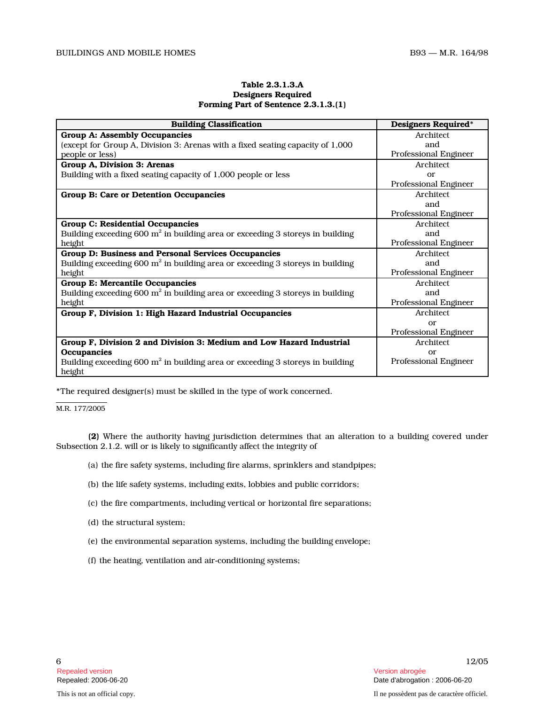## Table 2.3.1.3.A Designers Required Forming Part of Sentence 2.3.1.3.(1)

| <b>Building Classification</b>                                                             | Designers Required*   |
|--------------------------------------------------------------------------------------------|-----------------------|
| <b>Group A: Assembly Occupancies</b>                                                       | Architect             |
| (except for Group A, Division 3: Arenas with a fixed seating capacity of 1,000             | and                   |
| people or less)                                                                            | Professional Engineer |
| Group A, Division 3: Arenas                                                                | Architect             |
| Building with a fixed seating capacity of 1,000 people or less                             | $\alpha$ <sup>r</sup> |
|                                                                                            | Professional Engineer |
| Group B: Care or Detention Occupancies                                                     | Architect             |
|                                                                                            | and                   |
|                                                                                            | Professional Engineer |
| <b>Group C: Residential Occupancies</b>                                                    | Architect             |
| Building exceeding 600 $m^2$ in building area or exceeding 3 storeys in building           | and                   |
| height                                                                                     | Professional Engineer |
| <b>Group D: Business and Personal Services Occupancies</b>                                 | Architect             |
| Building exceeding 600 $m^2$ in building area or exceeding 3 storeys in building           | and                   |
| height                                                                                     | Professional Engineer |
| <b>Group E: Mercantile Occupancies</b>                                                     | Architect             |
| Building exceeding 600 $m^2$ in building area or exceeding 3 storeys in building           | and                   |
| height                                                                                     | Professional Engineer |
| Group F, Division 1: High Hazard Industrial Occupancies                                    | Architect             |
|                                                                                            | $\alpha$ r            |
|                                                                                            | Professional Engineer |
| Group F, Division 2 and Division 3: Medium and Low Hazard Industrial                       | Architect             |
| Occupancies                                                                                | $\alpha$ r            |
| Building exceeding 600 $m^2$ in building area or exceeding 3 storeys in building<br>height | Professional Engineer |

\*The required designer(s) must be skilled in the type of work concerned.

M.R. 177/2005

(2) Where the authority having jurisdiction determines that an alteration to a building covered under Subsection 2.1.2. will or is likely to significantly affect the integrity of

- (a) the fire safety systems, including fire alarms, sprinklers and standpipes;
- (b) the life safety systems, including exits, lobbies and public corridors;
- (c) the fire compartments, including vertical or horizontal fire separations;
- (d) the structural system;
- (e) the environmental separation systems, including the building envelope;
- (f) the heating, ventilation and air-conditioning systems;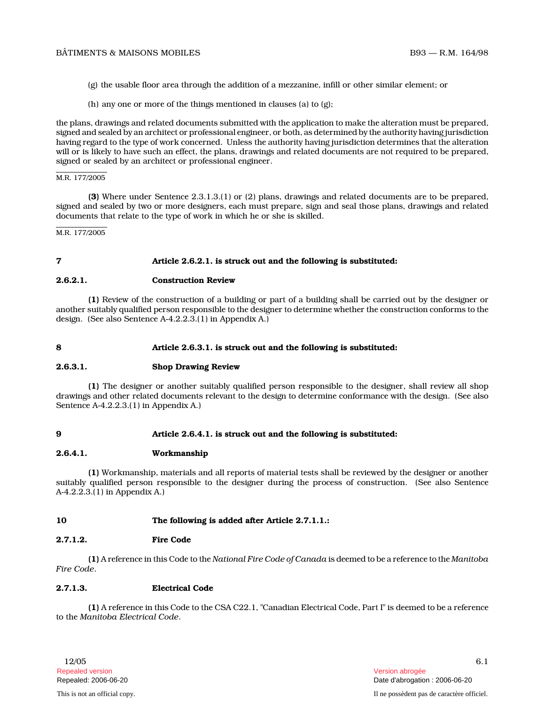- (g) the usable floor area through the addition of a mezzanine, infill or other similar element; or
- (h) any one or more of the things mentioned in clauses (a) to (g);

the plans, drawings and related documents submitted with the application to make the alteration must be prepared, signed and sealed by an architect or professional engineer, or both, as determined by the authority having jurisdiction having regard to the type of work concerned. Unless the authority having jurisdiction determines that the alteration will or is likely to have such an effect, the plans, drawings and related documents are not required to be prepared, signed or sealed by an architect or professional engineer.

## M.R. 177/2005

(3) Where under Sentence 2.3.1.3.(1) or (2) plans, drawings and related documents are to be prepared, signed and sealed by two or more designers, each must prepare, sign and seal those plans, drawings and related documents that relate to the type of work in which he or she is skilled.

M.R. 177/2005

## 7 Article 2.6.2.1. is struck out and the following is substituted:

## 2.6.2.1. Construction Review

(1) Review of the construction of a building or part of a building shall be carried out by the designer o r another suitably qualified person responsible to the designer to determine whether the construction conforms to the design. (See also Sentence A-4.2.2.3.(1) in Appendix A.)

8 Article 2.6.3.1. is struck out and the following is substituted:

## 2.6.3.1. Shop Drawing Review

(1) The designer or another suitably qualified person responsible to the designer, shall review all shop drawings and other related documents relevant to the design to determine conformance with the design. (See also Sentence A-4.2.2.3.(1) in Appendix A.)

## 9 Article 2.6.4.1. is struck out and the following is substituted:

## 2.6.4.1. Workmanship

(1) Workmanship, materials and all reports of material tests shall be reviewed by the designer or another suitably qualified person responsible to the designer during the process of construction. (See also Sentence A-4.2.2.3.(1) in Appendix A.)

## 10 The following is added after Article 2.7.1.1.:

## 2.7.1.2. Fire Code

(1) A reference in this Code to the National Fire Code of Canada is deemed to be a reference to the Manitoba Fire Code .

## 2.7.1.3. Electrical Code

(1) A reference in this Code to the CSA C22.1, "Canadian Electrical Code, Part I" is deemed to be a reference to the Manitoba Electrical Code .

Repealed version Version abrogée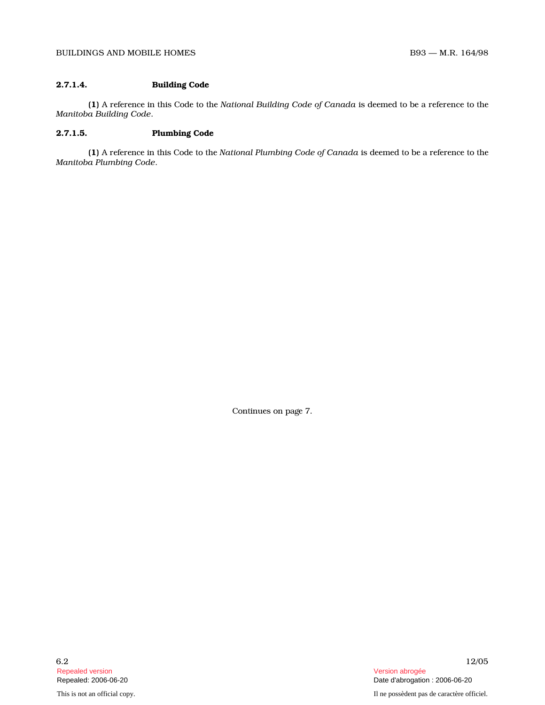# 2.7.1.4. Building Code

(1) A reference in this Code to the National Building Code of Canada is deemed to be a reference to the Manitoba Building Code .

# 2.7.1.5. Plumbing Code

(1) A reference in this Code to the National Plumbing Code of Canada is deemed to be a reference to the Manitoba Plumbing Code .

Continues on page 7.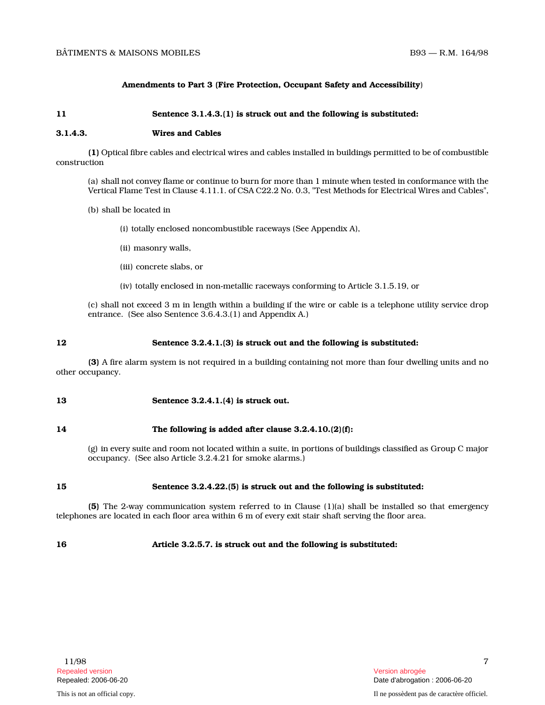## Amendments to Part 3 (Fire Protection, Occupant Safety and Accessibility )

### 11 Sentence 3.1.4.3.(1) is struck out and the following is substituted:

### 3.1.4.3. Wires and Cables

(1) Optical fibre cables and electrical wires and cables installed in buildings permitted to be of combustible construction

(a) shall not convey flame or continue to burn for more than 1 minute when tested in conformance with the Vertical Flame Test in Clause 4.11.1. of CSA C22.2 No. 0.3, "Test Methods for Electrical Wires and Cables",

- (b) shall be located in
	- (i) totally enclosed noncombustible raceways (See Appendix A),
	- (ii) masonry walls,
	- (iii) concrete slabs, or
	- (iv) totally enclosed in non-metallic raceways conforming to Article 3.1.5.19, or

(c) shall not exceed 3 m in length within a building if the wire or cable is a telephone utility service drop entrance. (See also Sentence 3.6.4.3.(1) and Appendix A.)

## 12 Sentence 3.2.4.1.(3) is struck out and the following is substituted:

(3) A fire alarm system is not required in a building containing not more than four dwelling units and no other occupancy.

13 Sentence 3.2.4.1.(4) is struck out.

#### 14 The following is added after clause 3.2.4.10.(2)(f):

(g) in every suite and room not located within a suite, in portions of buildings classified as Group C major occupancy. (See also Article 3.2.4.21 for smoke alarms.)

#### 15 Sentence 3.2.4.22.(5) is struck out and the following is substituted:

(5) The 2-way communication system referred to in Clause (1)(a) shall be installed so that emergency telephones are located in each floor area within 6 m of every exit stair shaft serving the floor area.

## 16 Article 3.2.5.7. is struck out and the following is substituted: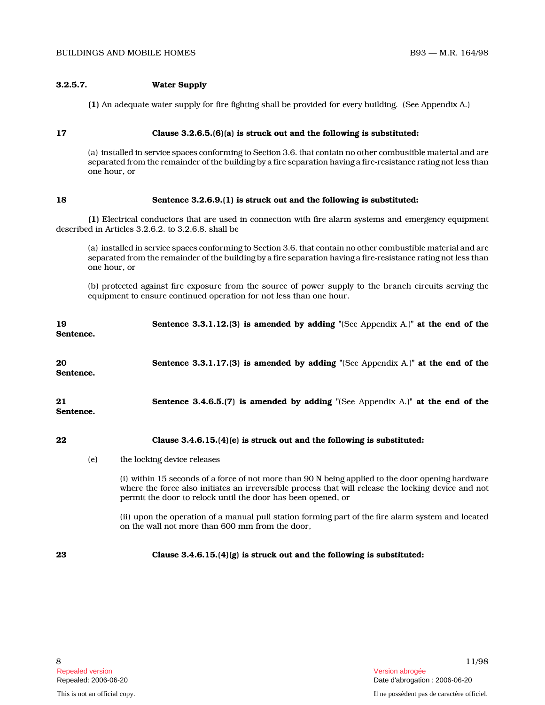# 3.2.5.7. Water Supply

(1) An adequate water supply for fire fighting shall be provided for every building. (See Appendix A.)

## 17 Clause 3.2.6.5.(6)(a) is struck out and the following is substituted:

(a) installed in service spaces conforming to Section 3.6. that contain no other combustible material and are separated from the remainder of the building by a fire separation having a fire-resistance rating not less than one hour, or

## 18 Sentence 3.2.6.9.(1) is struck out and the following is substituted:

(1) Electrical conductors that are used in connection with fire alarm systems and emergency equipment described in Articles 3.2.6.2. to 3.2.6.8. shall be

(a) installed in service spaces conforming to Section 3.6. that contain no other combustible material and are separated from the remainder of the building by a fire separation having a fire-resistance rating not less than one hour, or

(b) protected against fire exposure from the source of power supply to the branch circuits serving the equipment to ensure continued operation for not less than one hour.

| 19<br>Sentence. | <b>Sentence 3.3.1.12.(3) is amended by adding</b> "(See Appendix A.)" at the end of the                                                                                                                                                                                  |
|-----------------|--------------------------------------------------------------------------------------------------------------------------------------------------------------------------------------------------------------------------------------------------------------------------|
| 20<br>Sentence. | <b>Sentence 3.3.1.17.(3) is amended by adding</b> "(See Appendix A.)" at the end of the                                                                                                                                                                                  |
| 21<br>Sentence. | <b>Sentence 3.4.6.5.(7) is amended by adding</b> "(See Appendix A.)" at the end of the                                                                                                                                                                                   |
| 22              | Clause $3.4.6.15.(4)(e)$ is struck out and the following is substituted:                                                                                                                                                                                                 |
| (e)             | the locking device releases                                                                                                                                                                                                                                              |
|                 | (i) within 15 seconds of a force of not more than 90 N being applied to the door opening hardware<br>where the force also initiates an irreversible process that will release the locking device and not<br>permit the door to relock until the door has been opened, or |
|                 | (ii) upon the operation of a manual pull station forming part of the fire alarm system and located<br>on the wall not more than 600 mm from the door,                                                                                                                    |
| 23              | Clause $3.4.6.15.(4)(g)$ is struck out and the following is substituted:                                                                                                                                                                                                 |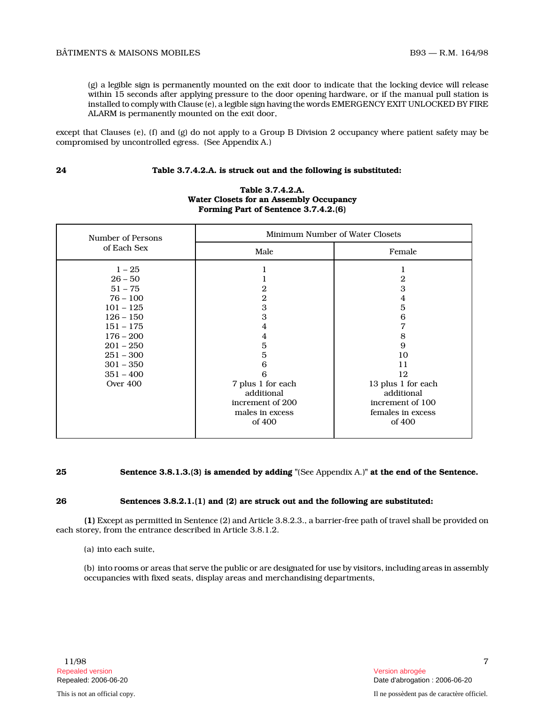(g) a legible sign is permanently mounted on the exit door to indicate that the locking device will release within 15 seconds after applying pressure to the door opening hardware, or if the manual pull station is installed to comply with Clause (e), a legible sign having the words EMERGENCY EXIT UNLOCKED BY FIRE ALARM is permanently mounted on the exit door,

except that Clauses (e), (f) and (g) do not apply to a Group B Division 2 occupancy where patient safety may be compromised by uncontrolled egress. (See Appendix A.)

# 24 Table 3.7.4.2.A. is struck out and the following is substituted:

| Number of Persons                                                                                                                                                                    | Minimum Number of Water Closets                                                                                               |                                                                                                                                          |  |
|--------------------------------------------------------------------------------------------------------------------------------------------------------------------------------------|-------------------------------------------------------------------------------------------------------------------------------|------------------------------------------------------------------------------------------------------------------------------------------|--|
| of Each Sex                                                                                                                                                                          | Male                                                                                                                          | Female                                                                                                                                   |  |
| $1 - 25$<br>$26 - 50$<br>$51 - 75$<br>$76 - 100$<br>$101 - 125$<br>$126 - 150$<br>$151 - 175$<br>$176 - 200$<br>$201 - 250$<br>$251 - 300$<br>$301 - 350$<br>$351 - 400$<br>Over 400 | 2<br>3<br>3<br>4<br>4<br>5<br>5<br>6<br>h<br>7 plus 1 for each<br>additional<br>increment of 200<br>males in excess<br>of 400 | 2<br>3<br>4<br>5<br>6<br>8<br>9<br>10<br>11<br>12<br>13 plus 1 for each<br>additional<br>increment of 100<br>females in excess<br>of 400 |  |
|                                                                                                                                                                                      |                                                                                                                               |                                                                                                                                          |  |

# Table 3.7.4.2.A. Water Closets for an Assembly Occupancy Forming Part of Sentence 3.7.4.2.(6)

25 Sentence 3.8.1.3.(3) is amended by adding "(See Appendix A.)" at the end of the Sentence.

## 26 Sentences 3.8.2.1.(1) and (2) are struck out and the following are substituted:

(1) Except as permitted in Sentence (2) and Article 3.8.2.3., a barrier-free path of travel shall be provided on each storey, from the entrance described in Article 3.8.1.2.

(a) into each suite,

(b) into rooms or areas that serve the public or are designated for use by visitors, including areas in assembly occupancies with fixed seats, display areas and merchandising departments,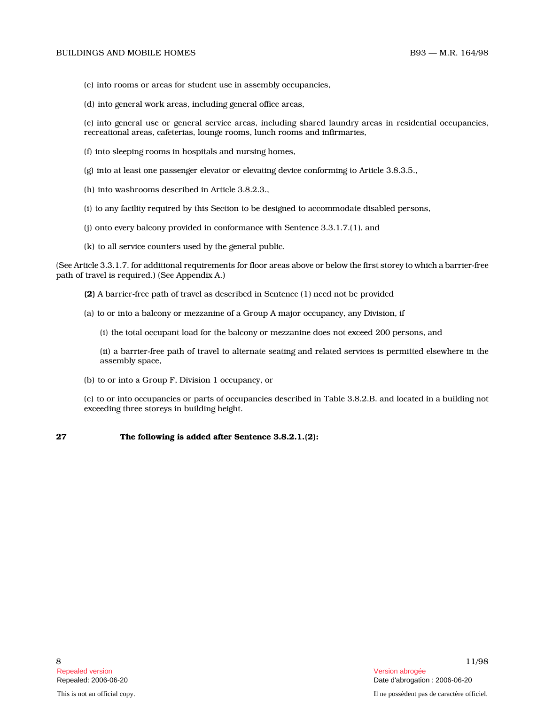- (c) into rooms or areas for student use in assembly occupancies,
- (d) into general work areas, including general office areas,

(e) into general use or general service areas, including shared laundry areas in residential occupancies, recreational areas, cafeterias, lounge rooms, lunch rooms and infirmaries,

- (f) into sleeping rooms in hospitals and nursing homes,
- (g) into at least one passenger elevator or elevating device conforming to Article 3.8.3.5.,
- (h) into washrooms described in Article 3.8.2.3.,
- (i) to any facility required by this Section to be designed to accommodate disabled persons,
- (j) onto every balcony provided in conformance with Sentence 3.3.1.7.(1), and
- (k) to all service counters used by the general public.

(See Article 3.3.1.7. for additional requirements for floor areas above or below the first storey to which a barrier-free path of travel is required.) (See Appendix A.)

(2) A barrier-free path of travel as described in Sentence (1) need not be provided

(a) to or into a balcony or mezzanine of a Group A major occupancy, any Division, if

(i) the total occupant load for the balcony or mezzanine does not exceed 200 persons, and

(ii) a barrier-free path of travel to alternate seating and related services is permitted elsewhere in the assembly space,

(b) to or into a Group F, Division 1 occupancy, or

(c) to or into occupancies or parts of occupancies described in Table 3.8.2.B. and located in a building not exceeding three storeys in building height.

#### 27 The following is added after Sentence 3.8.2.1.(2) :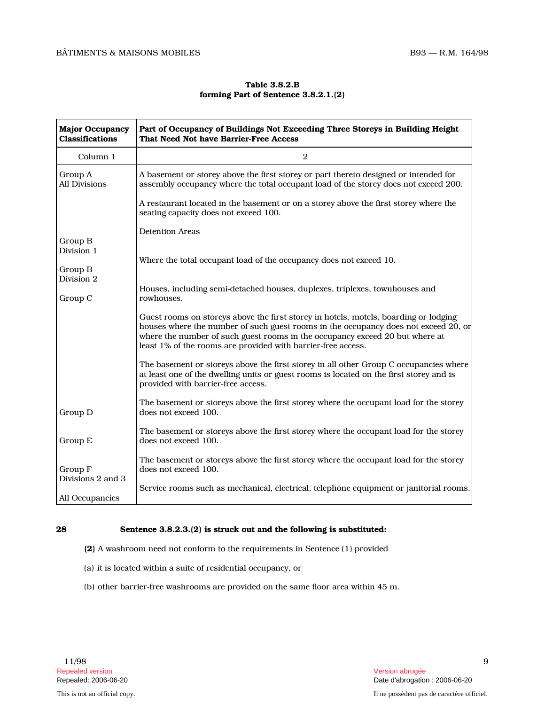## Table 3.8.2.B forming Part of Sentence 3.8.2.1.(2)

| <b>Major Occupancy</b><br><b>Classifications</b> | Part of Occupancy of Buildings Not Exceeding Three Storeys in Building Height<br>That Need Not have Barrier-Free Access                                                                                                                                                                                                     |
|--------------------------------------------------|-----------------------------------------------------------------------------------------------------------------------------------------------------------------------------------------------------------------------------------------------------------------------------------------------------------------------------|
| Column 1                                         | $\boldsymbol{2}$                                                                                                                                                                                                                                                                                                            |
| Group A<br><b>All Divisions</b>                  | A basement or storey above the first storey or part thereto designed or intended for<br>assembly occupancy where the total occupant load of the storey does not exceed 200.                                                                                                                                                 |
|                                                  | A restaurant located in the basement or on a storey above the first storey where the<br>seating capacity does not exceed 100.                                                                                                                                                                                               |
|                                                  | <b>Detention Areas</b>                                                                                                                                                                                                                                                                                                      |
| Group B<br>Division 1<br>Group B                 | Where the total occupant load of the occupancy does not exceed 10.                                                                                                                                                                                                                                                          |
| Division 2<br>Group C                            | Houses, including semi-detached houses, duplexes, triplexes, townhouses and<br>rowhouses.                                                                                                                                                                                                                                   |
|                                                  | Guest rooms on storeys above the first storey in hotels, motels, boarding or lodging<br>houses where the number of such guest rooms in the occupancy does not exceed 20, or<br>where the number of such guest rooms in the occupancy exceed 20 but where at<br>least 1% of the rooms are provided with barrier-free access. |
|                                                  | The basement or storeys above the first storey in all other Group C occupancies where<br>at least one of the dwelling units or guest rooms is located on the first storey and is<br>provided with barrier-free access.                                                                                                      |
| Group D                                          | The basement or storeys above the first storey where the occupant load for the storey<br>does not exceed 100.                                                                                                                                                                                                               |
| Group E                                          | The basement or storeys above the first storey where the occupant load for the storey<br>does not exceed 100.                                                                                                                                                                                                               |
| Group F                                          | The basement or storeys above the first storey where the occupant load for the storey<br>does not exceed 100.                                                                                                                                                                                                               |
| Divisions 2 and 3<br>All Occupancies             | Service rooms such as mechanical, electrical, telephone equipment or janitorial rooms.                                                                                                                                                                                                                                      |

# 28 Sentence 3.8.2.3.(2) is struck out and the following is substituted:

- (2) A washroom need not conform to the requirements in Sentence (1) provided
- (a) it is located within a suite of residential occupancy, or
- (b) other barrier-free washrooms are provided on the same floor area within 45 m.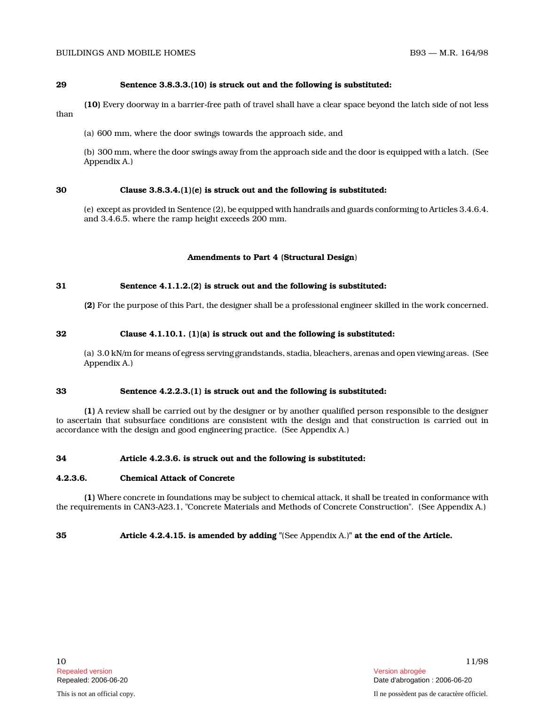## 29 Sentence 3.8.3.3.(10) is struck out and the following is substituted:

(10) Every doorway in a barrier-free path of travel shall have a clear space beyond the latch side of not less than

(a) 600 mm, where the door swings towards the approach side, and

(b) 300 mm, where the door swings away from the approach side and the door is equipped with a latch. (See Appendix A.)

## 30 Clause 3.8.3.4.(1)(e) is struck out and the following is substituted:

(e) except as provided in Sentence (2), be equipped with handrails and guards conforming to Articles 3.4.6.4. and 3.4.6.5. where the ramp height exceeds 200 mm.

## Amendments to Part 4 (Structural Design )

## 31 Sentence 4.1.1.2.(2) is struck out and the following is substituted:

(2) For the purpose of this Part, the designer shall be a professional engineer skilled in the work concerned.

## 32 Clause 4.1.10.1. (1)(a) is struck out and the following is substituted:

(a) 3.0 kN/m for means of egress serving grandstands, stadia, bleachers, arenas and open viewing areas. (See Appendix A.)

# 33 Sentence 4.2.2.3.(1) is struck out and the following is substituted:

(1) A review shall be carried out by the designer or by another qualified person responsible to the designer to ascertain that subsurface conditions are consistent with the design and that construction is carried out in accordance with the design and good engineering practice. (See Appendix A.)

#### 34 Article 4.2.3.6. is struck out and the following is substituted:

## 4.2.3.6. Chemical Attack of Concrete

(1) Where concrete in foundations may be subject to chemical attack, it shall be treated in conformance with the requirements in CAN3-A23.1, "Concrete Materials and Methods of Concrete Construction". (See Appendix A.)

## 35 Article 4.2.4.15. is amended by adding "(See Appendix A.)" at the end of the Article.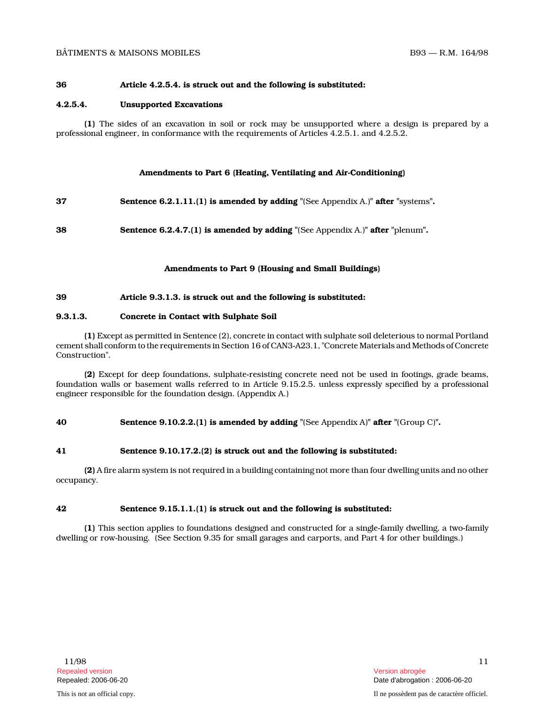## BÂTIMENTS & MAISONS MOBILES B93 — R.M. 164/98

# 36 Article 4.2.5.4. is struck out and the following is substituted:

## 4.2.5.4. Unsupported Excavations

(1) The sides of an excavation in soil or rock may be unsupported where a design is prepared by a professional engineer, in conformance with the requirements of Articles 4.2.5.1. and 4.2.5.2.

#### Amendments to Part 6 (Heating, Ventilating and Air-Conditioning)

| 37 | <b>Sentence 6.2.1.11.(1) is amended by adding</b> "(See Appendix A.)" <b>after</b> "systems". |
|----|-----------------------------------------------------------------------------------------------|
| 38 | <b>Sentence 6.2.4.7.(1) is amended by adding</b> "(See Appendix A.)" <b>after</b> "plenum".   |

### Amendments to Part 9 (Housing and Small Buildings)

## 39 Article 9.3.1.3. is struck out and the following is substituted:

### 9.3.1.3. Concrete in Contact with Sulphate Soil

(1) Except as permitted in Sentence (2), concrete in contact with sulphate soil deleterious to normal Portland cement shall conform to the requirements in Section 16 of CAN3-A23.1, "Concrete Materials and Methods of Concrete Construction".

(2) Except for deep foundations, sulphate-resisting concrete need not be used in footings, grade beams, foundation walls or basement walls referred to in Article 9.15.2.5. unless expressly specified by a professional engineer responsible for the foundation design. (Appendix A.)

## 40 Sentence 9.10.2.2.(1) is amended by adding "(See Appendix A)" after "(Group C)".

## 41 Sentence 9.10.17.2.(2) is struck out and the following is substituted:

(2) A fire alarm system is not required in a building containing not more than four dwelling units and no other occupancy.

## 42 Sentence 9.15.1.1.(1) is struck out and the following is substituted:

(1) This section applies to foundations designed and constructed for a single-family dwelling, a two-family dwelling or row-housing. (See Section 9.35 for small garages and carports, and Part 4 for other buildings.)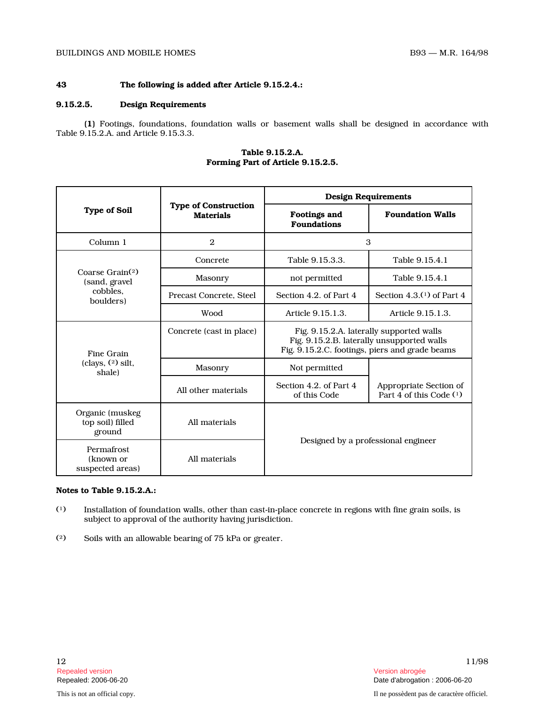## BUILDINGS AND MOBILE HOMES B93 — M.R. 164/98

# 43 The following is added after Article 9.15.2.4.:

# 9.15.2.5. Design Requirements

(1) Footings, foundations, foundation walls or basement walls shall be designed in accordance with Table 9.15.2.A. and Article 9.15.3.3.

|                                               |                                                 | <b>Design Requirements</b>                                                                                                               |                                                     |
|-----------------------------------------------|-------------------------------------------------|------------------------------------------------------------------------------------------------------------------------------------------|-----------------------------------------------------|
| <b>Type of Soil</b>                           | <b>Type of Construction</b><br><b>Materials</b> | <b>Footings and</b><br><b>Foundations</b>                                                                                                | <b>Foundation Walls</b>                             |
| Column 1                                      | $\overline{2}$                                  | 3                                                                                                                                        |                                                     |
|                                               | Concrete                                        | Table 9.15.3.3.                                                                                                                          | Table 9.15.4.1                                      |
| Coarse Grain $(2)$<br>(sand, gravel           | Masonry                                         | not permitted                                                                                                                            | Table 9.15.4.1                                      |
| cobbles.<br>boulders)                         | Precast Concrete, Steel                         | Section 4.2. of Part 4                                                                                                                   | Section $4.3(1)$ of Part 4                          |
|                                               | Wood                                            | Article 9.15.1.3.                                                                                                                        | Article 9.15.1.3.                                   |
| Fine Grain                                    | Concrete (cast in place)                        | Fig. 9.15.2.A. laterally supported walls<br>Fig. 9.15.2.B. laterally unsupported walls<br>Fig. 9.15.2.C. footings, piers and grade beams |                                                     |
| (clays, $(2)$ silt,<br>shale)                 | Masonry                                         | Not permitted                                                                                                                            |                                                     |
|                                               | All other materials                             | Section 4.2, of Part 4<br>of this Code                                                                                                   | Appropriate Section of<br>Part 4 of this Code $(1)$ |
| Organic (muskeg<br>top soil) filled<br>ground | All materials                                   | Designed by a professional engineer                                                                                                      |                                                     |
| Permafrost<br>(known or<br>suspected areas)   | All materials                                   |                                                                                                                                          |                                                     |

## Table 9.15.2.A. Forming Part of Article 9.15.2.5.

# Notes to Table 9.15.2.A.:

- $(1)$  Installation of foundation walls, other than cast-in-place concrete in regions with fine grain soils, is subject to approval of the authority having jurisdiction.
- $(2)$ Soils with an allowable bearing of 75 kPa or greater.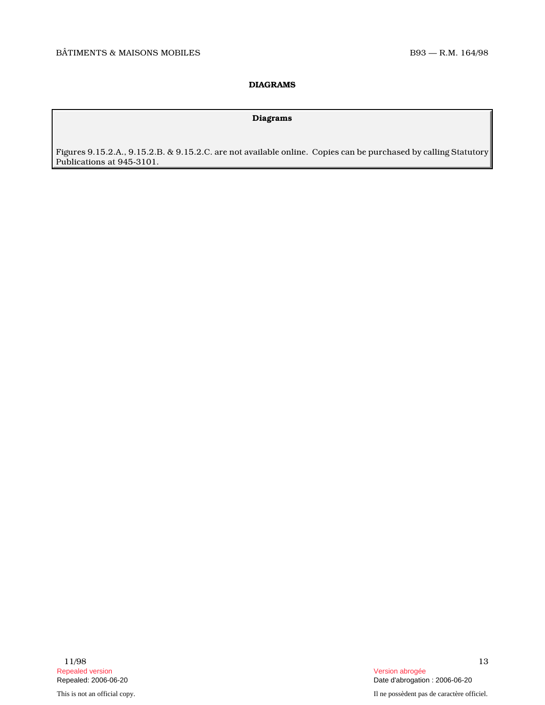## DIAGRAMS

# Diagrams

Figures 9.15.2.A., 9.15.2.B. & 9.15.2.C. are not available online. Copies can be purchased by calling Statutory Publications at 945-3101.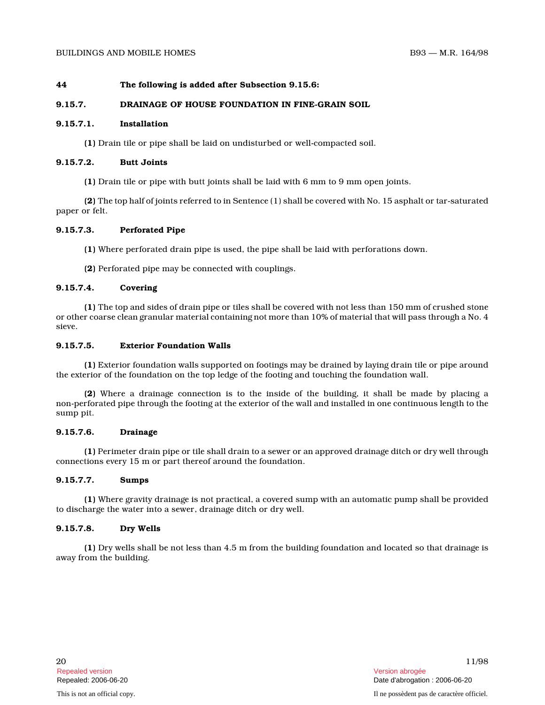## 44 The following is added after Subsection 9.15.6:

# 9.15.7. DRAINAGE OF HOUSE FOUNDATION IN FINE-GRAIN SOIL

## 9.15.7.1. Installation

(1) Drain tile or pipe shall be laid on undisturbed or well-compacted soil.

## 9.15.7.2. Butt Joints

(1) Drain tile or pipe with butt joints shall be laid with 6 mm to 9 mm open joints.

(2) The top half of joints referred to in Sentence (1) shall be covered with No. 15 asphalt or tar-saturated paper or felt.

## 9.15.7.3. Perforated Pipe

(1) Where perforated drain pipe is used, the pipe shall be laid with perforations down.

(2) Perforated pipe may be connected with couplings.

## 9.15.7.4. Covering

(1) The top and sides of drain pipe or tiles shall be covered with not less than 150 mm of crushed stone or other coarse clean granular material containing not more than 10% of material that will pass through a No. 4 sieve.

## 9.15.7.5. Exterior Foundation Walls

(1) Exterior foundation walls supported on footings may be drained by laying drain tile or pipe around the exterior of the foundation on the top ledge of the footing and touching the foundation wall.

(2) Where a drainage connection is to the inside of the building, it shall be made by placing a non-perforated pipe through the footing at the exterior of the wall and installed in one continuous length to the sump pit.

# 9.15.7.6. Drainage

(1) Perimeter drain pipe or tile shall drain to a sewer or an approved drainage ditch or dry well through connections every 15 m or part thereof around the foundation.

## 9.15.7.7. Sumps

(1) Where gravity drainage is not practical, a covered sump with an automatic pump shall be provided to discharge the water into a sewer, drainage ditch or dry well.

# 9.15.7.8. Dry Wells

(1) Dry wells shall be not less than 4.5 m from the building foundation and located so that drainage is away from the building.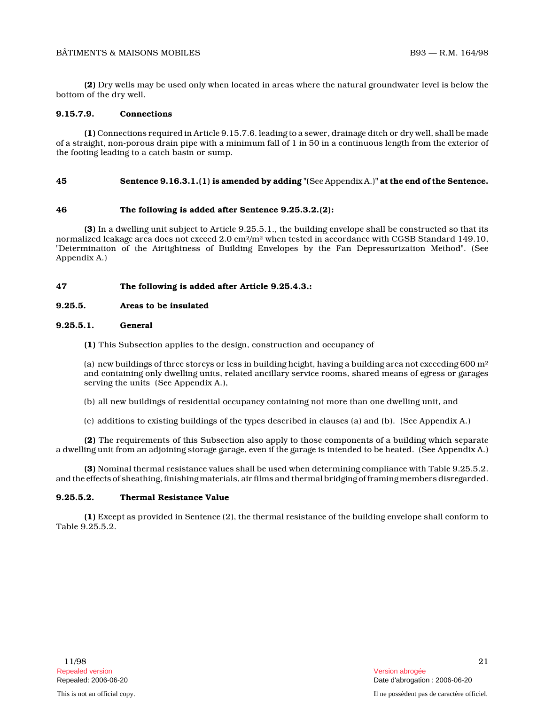(2) Dry wells may be used only when located in areas where the natural groundwater level is below the bottom of the dry well.

# 9.15.7.9. Connections

(1) Connections required in Article 9.15.7.6. leading to a sewer, drainage ditch or dry well, shall be made of a straight, non-porous drain pipe with a minimum fall of 1 in 50 in a continuous length from the exterior of the footing leading to a catch basin or sump.

## 45 Sentence  $9.16.3.1.(1)$  is amended by adding "(See Appendix A.)" at the end of the Sentence.

# 46 The following is added after Sentence 9.25.3.2.(2):

(3) In a dwelling unit subject to Article 9.25.5.1., the building envelope shall be constructed so that its normalized leakage area does not exceed 2.0 cm²/m² when tested in accordance with CGSB Standard 149.10, "Determination of the Airtightness of Building Envelopes by the Fan Depressurization Method". (See Appendix A.)

# 47 The following is added after Article 9.25.4.3.:

# 9.25.5. Areas to be insulated

# 9.25.5.1. General

(1) This Subsection applies to the design, construction and occupancy of

(a) new buildings of three storeys or less in building height, having a building area not exceeding 600  $m^2$ and containing only dwelling units, related ancillary service rooms, shared means of egress or garages serving the units (See Appendix A.),

(b) all new buildings of residential occupancy containing not more than one dwelling unit, and

(c) additions to existing buildings of the types described in clauses (a) and (b). (See Appendix A.)

(2) The requirements of this Subsection also apply to those components of a building which separate a dwelling unit from an adjoining storage garage, even if the garage is intended to be heated. (See Appendix A.)

(3) Nominal thermal resistance values shall be used when determining compliance with Table 9.25.5.2. and the effects of sheathing, finishing materials, air films and thermal bridging of framing members disregarded.

# 9.25.5.2. Thermal Resistance Value

(1) Except as provided in Sentence (2), the thermal resistance of the building envelope shall conform to Table 9.25.5.2.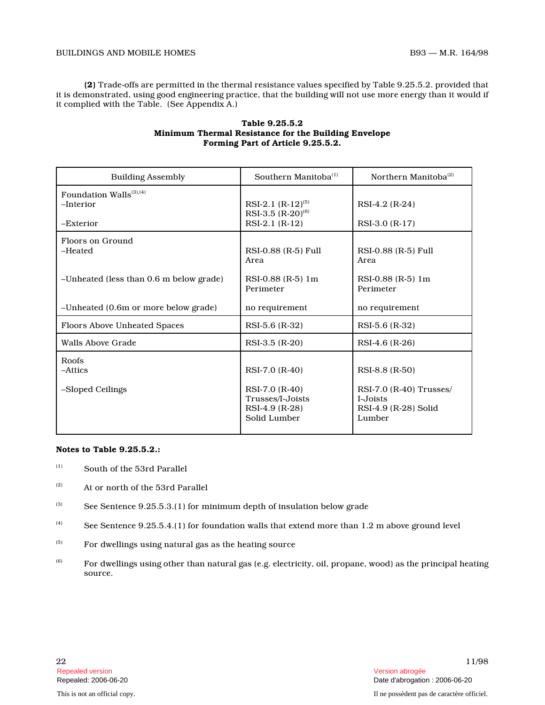## BUILDINGS AND MOBILE HOMES B93 — M.R. 164/98

(2) Trade-offs are permitted in the thermal resistance values specified by Table 9.25.5.2. provided that it is demonstrated, using good engineering practice, that the building will not use more energy than it would if it complied with the Table. (See Appendix A.)

## Table 9.25.5.2 Minimum Thermal Resistance for the Building Envelop e Forming Part of Article 9.25.5.2.

| <b>Building Assembly</b>                                      | Southern Manitoba <sup>(1)</sup>                                                       | Northern Manitoba $^{(2)}$                                                              |
|---------------------------------------------------------------|----------------------------------------------------------------------------------------|-----------------------------------------------------------------------------------------|
| Foundation Walls <sup>(3),(4)</sup><br>-Interior<br>-Exterior | RSI-2.1 $(R-12)^{(5)}$<br>RSI-3.5 $(R-20)^{(6)}$<br>RSI-2.1 (R-12)                     | RSI-4.2 (R-24)<br>RSI-3.0 (R-17)                                                        |
|                                                               |                                                                                        |                                                                                         |
| Floors on Ground<br>-Heated                                   | RSI-0.88 (R-5) Full<br>Area                                                            | RSI-0.88 (R-5) Full<br>Area                                                             |
| -Unheated (less than 0.6 m below grade)                       | RSI-0.88 (R-5) 1m<br>Perimeter                                                         | RSI-0.88 (R-5) 1m<br>Perimeter                                                          |
| -Unheated (0.6m or more below grade)                          | no requirement                                                                         | no requirement                                                                          |
| <b>Floors Above Unheated Spaces</b>                           | RSI-5.6 (R-32)                                                                         | RSI-5.6 (R-32)                                                                          |
| Walls Above Grade                                             | RSI-3.5 (R-20)                                                                         | RSI-4.6 (R-26)                                                                          |
| Roofs<br>$-Attics$<br>-Sloped Ceilings                        | RSI-7.0 (R-40)<br>RSI-7.0 (R-40)<br>Trusses/I-Joists<br>RSI-4.9 (R-28)<br>Solid Lumber | RSI-8.8 (R-50)<br>RSI-7.0 (R-40) Trusses/<br>I-Joists<br>RSI-4.9 (R-28) Solid<br>Lumber |

## Notes to Table 9.25.5.2.:

- (1) South of the 53rd Parallel
- (2) At or north of the 53rd Parallel
- $^{(3)}$  See Sentence 9.25.5.3.(1) for minimum depth of insulation below grade
- <sup>(4)</sup> See Sentence  $9.25.5.4.(1)$  for foundation walls that extend more than 1.2 m above ground level
- $^{(5)}$  For dwellings using natural gas as the heating source
- $^{(6)}$  For dwellings using other than natural gas (e.g. electricity, oil, propane, wood) as the principal heating source.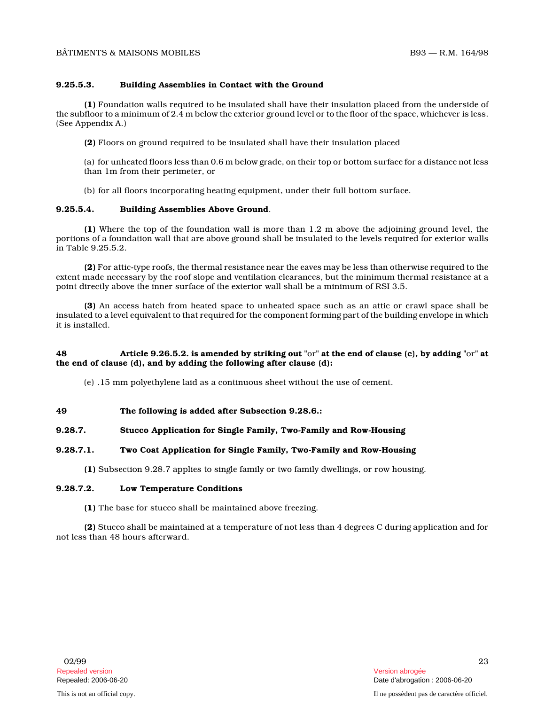# 9.25.5.3. Building Assemblies in Contact with the Ground

(1) Foundation walls required to be insulated shall have their insulation placed from the underside of the subfloor to a minimum of 2.4 m below the exterior ground level or to the floor of the space, whichever is less. (See Appendix A.)

(2) Floors on ground required to be insulated shall have their insulation placed

(a) for unheated floors less than 0.6 m below grade, on their top or bottom surface for a distance not less than 1m from their perimeter, or

(b) for all floors incorporating heating equipment, under their full bottom surface.

# 9.25.5.4. Building Assemblies Above Ground .

(1) Where the top of the foundation wall is more than 1.2 m above the adjoining ground level, the portions of a foundation wall that are above ground shall be insulated to the levels required for exterior walls in Table 9.25.5.2.

(2) For attic-type roofs, the thermal resistance near the eaves may be less than otherwise required to th e extent made necessary by the roof slope and ventilation clearances, but the minimum thermal resistance at a point directly above the inner surface of the exterior wall shall be a minimum of RSI 3.5.

(3) An access hatch from heated space to unheated space such as an attic or crawl space shall be insulated to a level equivalent to that required for the component forming part of the building envelope in which it is installed.

## 48 Article 9.26.5.2. is amended by striking out "or" at the end of clause (c), by adding "or" at the end of clause (d), and by adding the following after clause (d):

(e) .15 mm polyethylene laid as a continuous sheet without the use of cement.

## 49 The following is added after Subsection 9.28.6.:

# 9.28.7. Stucco Application for Single Family, Two-Family and Row-Housing

## 9.28.7.1. Two Coat Application for Single Family, Two-Family and Row-Housing

(1) Subsection 9.28.7 applies to single family or two family dwellings, or row housing.

## 9.28.7.2. Low Temperature Conditions

## (1) The base for stucco shall be maintained above freezing.

(2) Stucco shall be maintained at a temperature of not less than 4 degrees C during application and for not less than 48 hours afterward.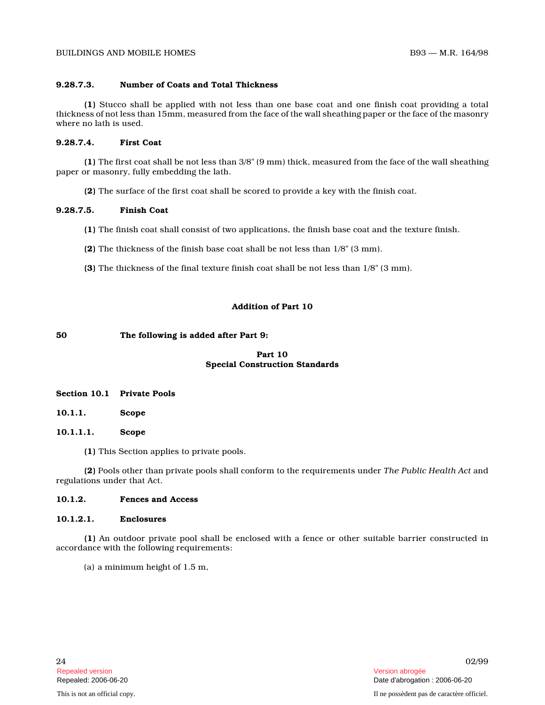## 9.28.7.3. Number of Coats and Total Thickness

(1) Stucco shall be applied with not less than one base coat and one finish coat providing a total thickness of not less than 15mm, measured from the face of the wall sheathing paper or the face of the masonry where no lath is used.

# 9.28.7.4. First Coat

(1) The first coat shall be not less than 3/8" (9 mm) thick, measured from the face of the wall sheathing paper or masonry, fully embedding the lath.

(2) The surface of the first coat shall be scored to provide a key with the finish coat.

# 9.28.7.5. Finish Coat

- (1) The finish coat shall consist of two applications, the finish base coat and the texture finish.
- (2) The thickness of the finish base coat shall be not less than 1/8" (3 mm).
- (3) The thickness of the final texture finish coat shall be not less than 1/8" (3 mm).

# Addition of Part 10

## 50 The following is added after Part 9:

## Part 10 Special Construction Standards

## Section 10.1 Private Pools

- 10.1.1. Scope
- 10.1.1.1. Scope

(1) This Section applies to private pools.

(2) Pools other than private pools shall conform to the requirements under The Public Health Act and regulations under that Act.

## 10.1.2. Fences and Access

## 10.1.2.1. Enclosures

(1) An outdoor private pool shall be enclosed with a fence or other suitable barrier constructed in accordance with the following requirements:

(a) a minimum height of 1.5 m,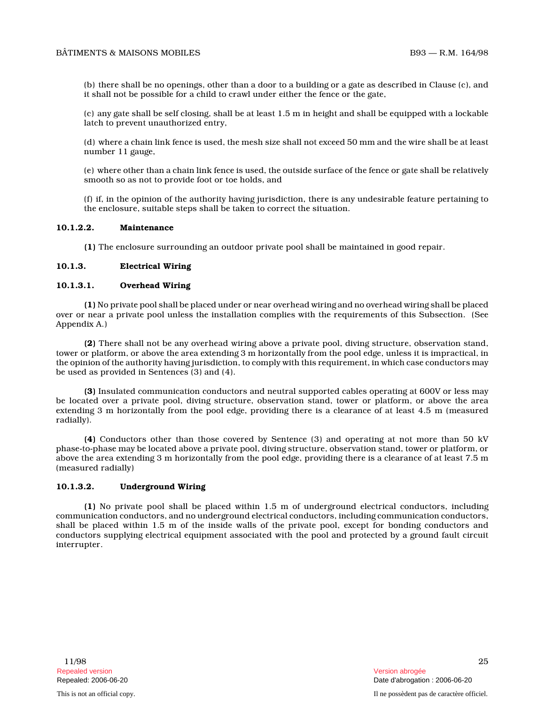(b) there shall be no openings, other than a door to a building or a gate as described in Clause (c), and it shall not be possible for a child to crawl under either the fence or the gate,

(c) any gate shall be self closing, shall be at least 1.5 m in height and shall be equipped with a lockable latch to prevent unauthorized entry,

(d) where a chain link fence is used, the mesh size shall not exceed 50 mm and the wire shall be at least number 11 gauge,

(e) where other than a chain link fence is used, the outside surface of the fence or gate shall be relatively smooth so as not to provide foot or toe holds, and

(f) if, in the opinion of the authority having jurisdiction, there is any undesirable feature pertaining to the enclosure, suitable steps shall be taken to correct the situation.

### 10.1.2.2. Maintenance

(1) The enclosure surrounding an outdoor private pool shall be maintained in good repair.

# 10.1.3. Electrical Wiring

## 10.1.3.1. Overhead Wiring

(1) No private pool shall be placed under or near overhead wiring and no overhead wiring shall be placed over or near a private pool unless the installation complies with the requirements of this Subsection. (See Appendix A.)

(2) There shall not be any overhead wiring above a private pool, diving structure, observation stand, tower or platform, or above the area extending 3 m horizontally from the pool edge, unless it is impractical, in the opinion of the authority having jurisdiction, to comply with this requirement, in which case conductors may be used as provided in Sentences (3) and (4).

(3) Insulated communication conductors and neutral supported cables operating at 600V or less may be located over a private pool, diving structure, observation stand, tower or platform, or above the area extending 3 m horizontally from the pool edge, providing there is a clearance of at least 4.5 m (measured radially).

(4) Conductors other than those covered by Sentence (3) and operating at not more than 50 kV phase-to-phase may be located above a private pool, diving structure, observation stand, tower or platform, or above the area extending 3 m horizontally from the pool edge, providing there is a clearance of at least 7.5 m (measured radially)

## 10.1.3.2. Underground Wiring

(1) No private pool shall be placed within 1.5 m of underground electrical conductors, including communication conductors, and no underground electrical conductors, including communication conductors , shall be placed within 1.5 m of the inside walls of the private pool, except for bonding conductors an d conductors supplying electrical equipment associated with the pool and protected by a ground fault circuit interrupter.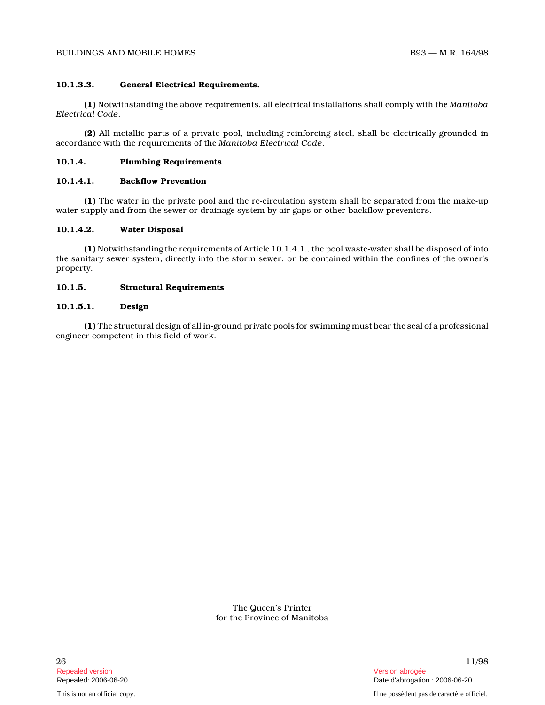## 10.1.3.3. General Electrical Requirements.

(1) Notwithstanding the above requirements, all electrical installations shall comply with the Manitoba Electrical Code .

(2) All metallic parts of a private pool, including reinforcing steel, shall be electrically grounded in accordance with the requirements of the Manitoba Electrical Code .

## 10.1.4. Plumbing Requirements

## 10.1.4.1. Backflow Prevention

(1) The water in the private pool and the re-circulation system shall be separated from the make-up water supply and from the sewer or drainage system by air gaps or other backflow preventors.

## 10.1.4.2. Water Disposal

(1) Notwithstanding the requirements of Article 10.1.4.1., the pool waste-water shall be disposed of into the sanitary sewer system, directly into the storm sewer, or be contained within the confines of the owner's property.

## 10.1.5. Structural Requirements

# 10.1.5.1. Design

(1) The structural design of all in-ground private pools for swimming must bear the seal of a professiona l engineer competent in this field of work.

> The Queen's Printer for the Province of Manitoba

Repealed version Version abrogée

26  $11/98$ Date d'abrogation : 2006-06-20 This is not an official copy. Il ne possèdent pas de caractère officiel.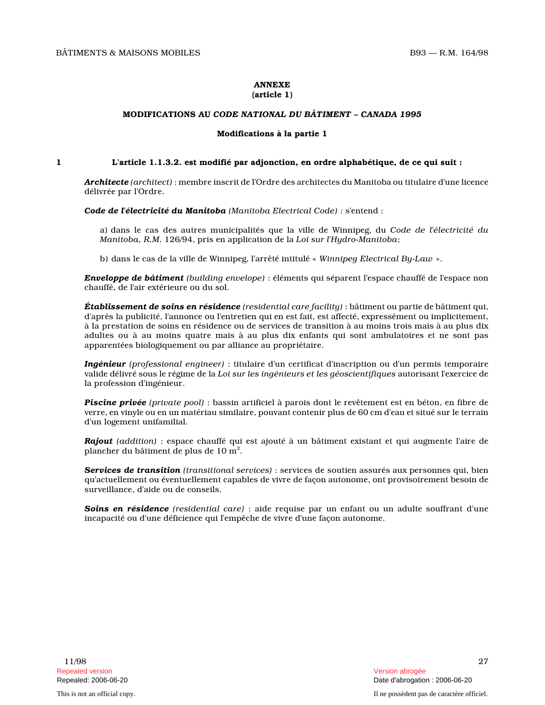#### ANNEXE (article 1)

## MODIFICATIONS AU CODE NATIONAL DU BÂTIMENT – CANADA 1995

## Modifications à la partie 1

#### 1 L'article 1.1.3.2. est modifié par adjonction, en ordre alphabétique, de ce qui suit :

Architecte (architect) : membre inscrit de l'Ordre des architectes du Manitoba ou titulaire d'une licence délivrée par l'Ordre.

Code de l'électricité du Manitoba (Manitoba Electrical Code) : s'entend :

a) dans le cas des autres municipalités que la ville de Winnipeg, du Code de l'électricité du Manitoba, R.M. 126/94, pris en application de la Loi sur l'Hydro-Manitoba ;

b) dans le cas de la ville de Winnipeg, l'arrêté intitulé « Winnipeg Electrical By-Law ».

**Enveloppe de bâtiment** (building envelope) : éléments qui séparent l'espace chauffé de l'espace non chauffé, de l'air extérieure ou du sol.

**Établissement de soins en résidence** (residential care facility) : bâtiment ou partie de bâtiment qui, d'après la publicité, l'annonce ou l'entretien qui en est fait, est affecté, expressément ou implicitement, à la prestation de soins en résidence ou de services de transition à au moins trois mais à au plus dix adultes ou à au moins quatre mais à au plus dix enfants qui sont ambulatoires et ne sont pas apparentées biologiquement ou par alliance au propriétaire.

Ingénieur (professional engineer) : titulaire d'un certificat d'inscription ou d'un permis temporaire valide délivré sous le régime de la Loi sur les ingénieurs et les géoscientifiques autorisant l'exercice de la profession d'ingénieur.

Piscine privée (private pool) : bassin artificiel à parois dont le revêtement est en béton, en fibre de verre, en vinyle ou en un matériau similaire, pouvant contenir plus de 60 cm d'eau et situé sur le terrain d'un logement unifamilial.

Rajout (addition) : espace chauffé qui est ajouté à un bâtiment existant et qui augmente l'aire de plancher du bâtiment de plus de 10 m $^{\rm 2}.$ 

Services de transition (transitional services) : services de soutien assurés aux personnes qui, bien qu'actuellement ou éventuellement capables de vivre de façon autonome, ont provisoirement besoin de surveillance, d'aide ou de conseils.

Soins en résidence (residential care) : aide requise par un enfant ou un adulte souffrant d'une incapacité ou d'une déficience qui l'empêche de vivre d'une façon autonome.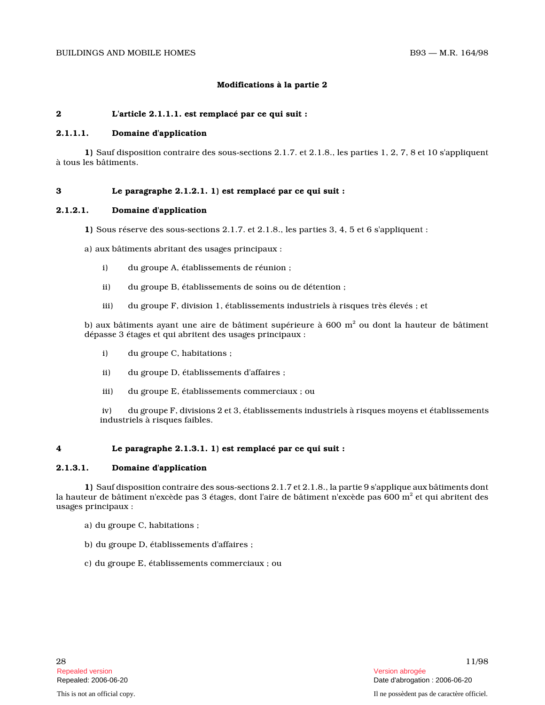# Modifications à la partie 2

# 2 L'article 2.1.1.1. est remplacé par ce qui suit :

## 2.1.1.1. Domaine d'application

1) Sauf disposition contraire des sous-sections 2.1.7. et 2.1.8., les parties 1, 2, 7, 8 et 10 s'appliquent à tous les bâtiments.

## 3 Le paragraphe 2.1.2.1. 1) est remplacé par ce qui suit :

## 2.1.2.1. Domaine d'application

1) Sous réserve des sous-sections 2.1.7. et 2.1.8., les parties 3, 4, 5 et 6 s'appliquent :

a) aux bâtiments abritant des usages principaux :

- i) du groupe A, établissements de réunion ;
- ii) du groupe B, établissements de soins ou de détention ;
- iii) du groupe F, division 1, établissements industriels à risques très élevés ; et

b) aux bâtiments ayant une aire de bâtiment supérieure à 600 m $^2$  ou dont la hauteur de bâtiment dépasse 3 étages et qui abritent des usages principaux :

- i) du groupe C, habitations ;
- ii) du groupe D, établissements d'affaires ;
- iii) du groupe E, établissements commerciaux ; ou

 iv) du groupe F, divisions 2 et 3, établissements industriels à risques moyens et établissements industriels à risques faibles.

#### 4 Le paragraphe 2.1.3.1. 1) est remplacé par ce qui suit :

#### 2.1.3.1. Domaine d'application

1) Sauf disposition contraire des sous-sections 2.1.7 et 2.1.8., la partie 9 s'applique aux bâtiments don t la hauteur de bâtiment n'excède pas 3 étages, dont l'aire de bâtiment n'excède pas 600 m $^{\rm 2}$  et qui abritent des usages principaux :

- a) du groupe C, habitations ;
- b) du groupe D, établissements d'affaires ;
- c) du groupe E, établissements commerciaux ; ou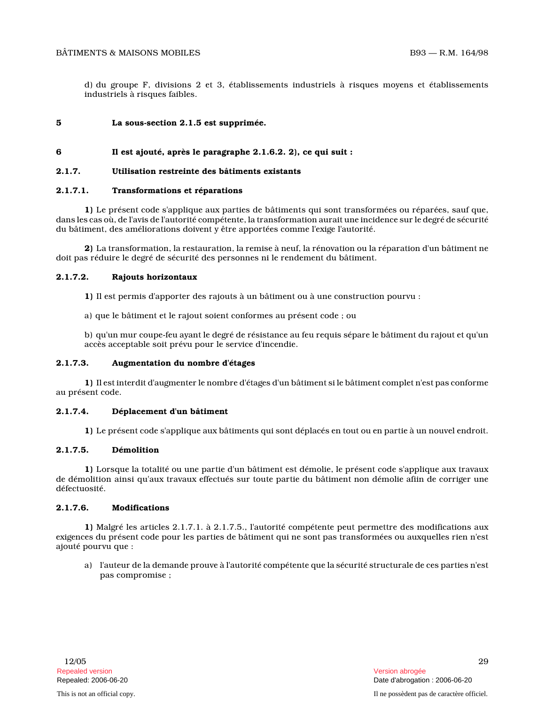d) du groupe F, divisions 2 et 3, établissements industriels à risques moyens et établissements industriels à risques faibles.

# 5 La sous-section 2.1.5 est supprimée.

## 6 Il est ajouté, après le paragraphe 2.1.6.2. 2), ce qui suit :

## 2.1.7. Utilisation restreinte des bâtiments existant s

## 2.1.7.1. Transformations et réparations

1) Le présent code s'applique aux parties de bâtiments qui sont transformées ou réparées, sauf que, dans les cas où, de l'avis de l'autorité compétente, la transformation aurait une incidence sur le degré de sécurité du bâtiment, des améliorations doivent y être apportées comme l'exige l'autorité.

2) La transformation, la restauration, la remise à neuf, la rénovation ou la réparation d'un bâtiment ne doit pas réduire le degré de sécurité des personnes ni le rendement du bâtiment.

## 2.1.7.2. Rajouts horizontaux

1) Il est permis d'apporter des rajouts à un bâtiment ou à une construction pourvu :

a) que le bâtiment et le rajout soient conformes au présent code ; ou

b) qu'un mur coupe-feu ayant le degré de résistance au feu requis sépare le bâtiment du rajout et qu'un accès acceptable soit prévu pour le service d'incendie.

# 2.1.7.3. Augmentation du nombre d'étages

1) Il est interdit d'augmenter le nombre d'étages d'un bâtiment si le bâtiment complet n'est pas conforme au présent code.

## 2.1.7.4. Déplacement d'un bâtiment

1) Le présent code s'applique aux bâtiments qui sont déplacés en tout ou en partie à un nouvel endroit.

# 2.1.7.5. Démolition

1) Lorsque la totalité ou une partie d'un bâtiment est démolie, le présent code s'applique aux travaux de démolition ainsi qu'aux travaux effectués sur toute partie du bâtiment non démolie afiin de corriger une défectuosité.

## 2.1.7.6. Modifications

1) Malgré les articles 2.1.7.1. à 2.1.7.5., l'autorité compétente peut permettre des modifications aux exigences du présent code pour les parties de bâtiment qui ne sont pas transformées ou auxquelles rien n'est ajouté pourvu que :

a) l'auteur de la demande prouve à l'autorité compétente que la sécurité structurale de ces parties n'est pas compromise ;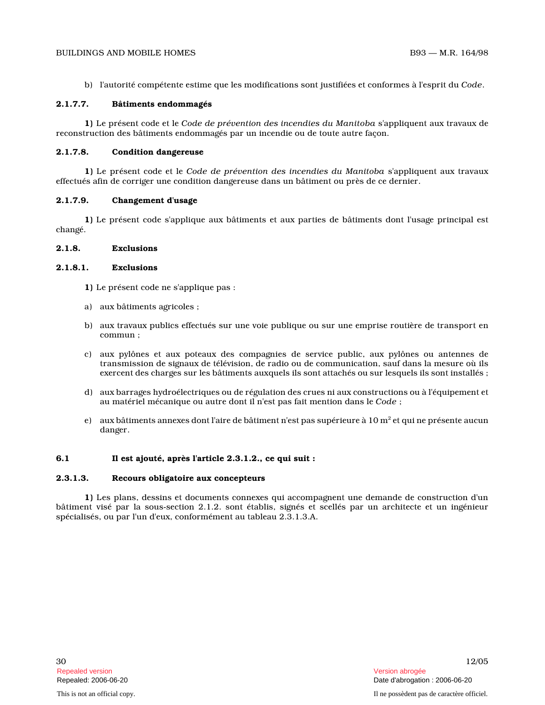b) l'autorité compétente estime que les modifications sont justifiées et conformes à l'esprit du Code .

## 2.1.7.7. Bâtiments endommagés

1) Le présent code et le Code de prévention des incendies du Manitoba s'appliquent aux travaux de reconstruction des bâtiments endommagés par un incendie ou de toute autre façon.

# 2.1.7.8. Condition dangereuse

1) Le présent code et le Code de prévention des incendies du Manitoba s'appliquent aux travaux effectués afin de corriger une condition dangereuse dans un bâtiment ou près de ce dernier.

## 2.1.7.9. Changement d'usage

1) Le présent code s'applique aux bâtiments et aux parties de bâtiments dont l'usage principal est changé.

# 2.1.8. Exclusions

## 2.1.8.1. Exclusions

1) Le présent code ne s'applique pas :

- a) aux bâtiments agricoles ;
- b) aux travaux publics effectués sur une voie publique ou sur une emprise routière de transport en commun ;
- c) aux pylônes et aux poteaux des compagnies de service public, aux pylônes ou antennes de transmission de signaux de télévision, de radio ou de communication, sauf dans la mesure où ils exercent des charges sur les bâtiments auxquels ils sont attachés ou sur lesquels ils sont installés ;
- d) aux barrages hydroélectriques ou de régulation des crues ni aux constructions ou à l'équipement et au matériel mécanique ou autre dont il n'est pas fait mention dans le Code ;
- e)  $\;$  aux bâtiments annexes dont l'aire de bâtiment n'est pas supérieure à 10 m $^2$  et qui ne présente aucun danger.

# 6.1 Il est ajouté, après l'article 2.3.1.2., ce qui suit :

## 2.3.1.3. Recours obligatoire aux concepteurs

1) Les plans, dessins et documents connexes qui accompagnent une demande de construction d'un bâtiment visé par la sous-section 2.1.2. sont établis, signés et scellés par un architecte et un ingénieur spécialisés, ou par l'un d'eux, conformément au tableau 2.3.1.3.A.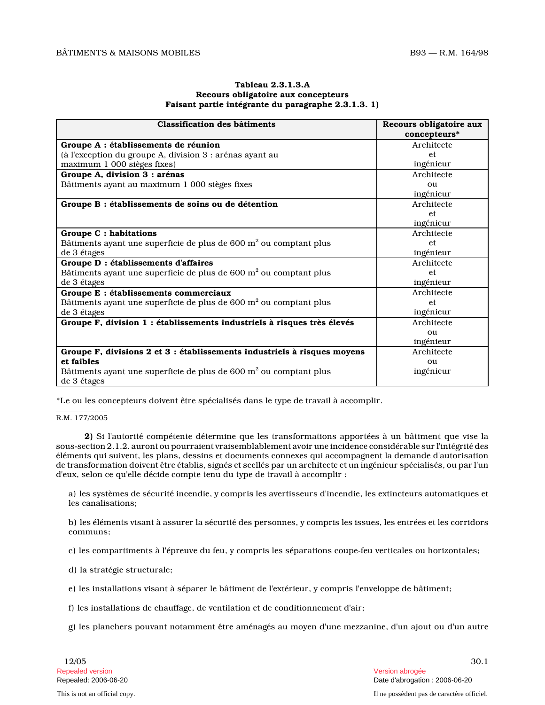## Tableau 2.3.1.3.A Recours obligatoire aux concepteurs Faisant partie intégrante du paragraphe 2.3.1.3. 1)

| Classification des bâtiments                                                                | Recours obligatoire aux<br>concepteurs* |
|---------------------------------------------------------------------------------------------|-----------------------------------------|
| Groupe A : établissements de réunion                                                        | Architecte                              |
| (à l'exception du groupe A, division 3 : arénas ayant au                                    | et.                                     |
| maximum 1 000 sièges fixes)                                                                 | ingénieur                               |
| Groupe A, division 3 : arénas                                                               | Architecte                              |
| Bâtiments ayant au maximum 1 000 sièges fixes                                               | ou                                      |
|                                                                                             | ingénieur                               |
| Groupe B : établissements de soins ou de détention                                          | Architecte                              |
|                                                                                             | et                                      |
|                                                                                             | ingénieur                               |
| Groupe C : habitations                                                                      | Architecte                              |
| Bâtiments ayant une superficie de plus de $600 \text{ m}^2$ ou comptant plus                | et                                      |
| de 3 étages                                                                                 | ingénieur                               |
| Groupe D : établissements d'affaires                                                        | Architecte                              |
| Bâtiments ayant une superficie de plus de $600 \text{ m}^2$ ou comptant plus                | et                                      |
| de 3 étages                                                                                 | ingénieur                               |
| Groupe E : établissements commerciaux                                                       | Architecte                              |
| Bâtiments ayant une superficie de plus de $600 \text{ m}^2$ ou comptant plus                | <sub>et</sub>                           |
| de 3 étages                                                                                 | ingénieur                               |
| Groupe F, division 1 : établissements industriels à risques très élevés                     | Architecte                              |
|                                                                                             | ou                                      |
|                                                                                             | ingénieur                               |
| Groupe F, divisions 2 et 3 : établissements industriels à risques moyens                    | Architecte                              |
| et faibles                                                                                  | ou                                      |
| Bâtiments ayant une superficie de plus de $600 \text{ m}^2$ ou comptant plus<br>de 3 étages | ingénieur                               |

\*Le ou les concepteurs doivent être spécialisés dans le type de travail à accomplir.

R.M. 177/2005

2) Si l'autorité compétente détermine que les transformations apportées à un bâtiment que vise la sous-section 2.1.2. auront ou pourraient vraisemblablement avoir une incidence considérable sur l'intégrité des éléments qui suivent, les plans, dessins et documents connexes qui accompagnent la demande d'autorisation de transformation doivent être établis, signés et scellés par un architecte et un ingénieur spécialisés, ou par l'un d'eux, selon ce qu'elle décide compte tenu du type de travail à accomplir :

a) les systèmes de sécurité incendie, y compris les avertisseurs d'incendie, les extincteurs automatiques et les canalisations;

b) les éléments visant à assurer la sécurité des personnes, y compris les issues, les entrées et les corridors communs;

c) les compartiments à l'épreuve du feu, y compris les séparations coupe-feu verticales ou horizontales ;

d) la stratégie structurale;

e) les installations visant à séparer le bâtiment de l'extérieur, y compris l'enveloppe de bâtiment;

f) les installations de chauffage, de ventilation et de conditionnement d'air;

g) les planchers pouvant notamment être aménagés au moyen d'une mezzanine, d'un ajout ou d'un autre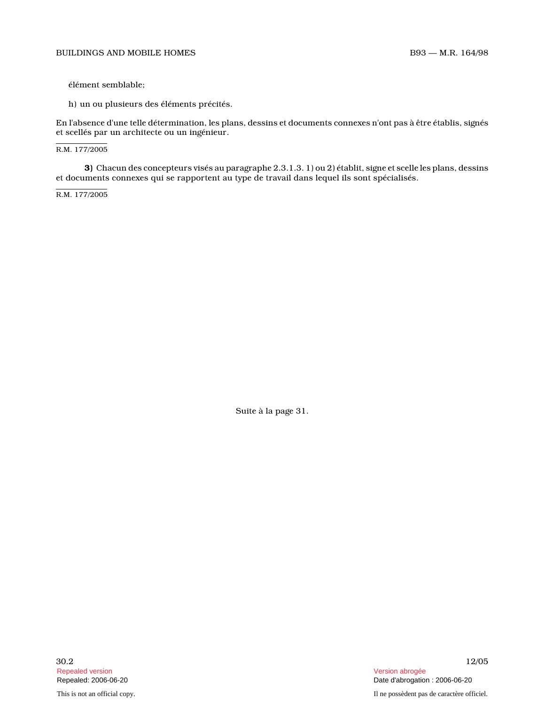élément semblable;

h) un ou plusieurs des éléments précités.

En l'absence d'une telle détermination, les plans, dessins et documents connexes n'ont pas à être établis, signés et scellés par un architecte ou un ingénieur.

# R.M. 177/2005

3) Chacun des concepteurs visés au paragraphe 2.3.1.3. 1) ou 2) établit, signe et scelle les plans, dessins et documents connexes qui se rapportent au type de travail dans lequel ils sont spécialisés.

R.M. 177/2005

Suite à la page 31.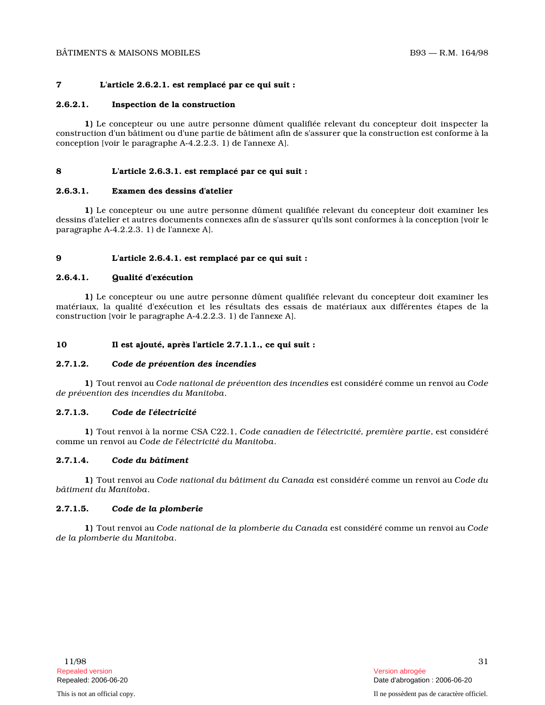## BÂTIMENTS & MAISONS MOBILES B93 — R.M. 164/98

# 7 L'article 2.6.2.1. est remplacé par ce qui suit :

## 2.6.2.1. Inspection de la construction

1) Le concepteur ou une autre personne dûment qualifiée relevant du concepteur doit inspecter la construction d'un bâtiment ou d'une partie de bâtiment afin de s'assurer que la construction est conforme à la conception [voir le paragraphe A-4.2.2.3. 1) de l'annexe A].

## 8 L'article 2.6.3.1. est remplacé par ce qui suit :

## 2.6.3.1. Examen des dessins d'atelier

1) Le concepteur ou une autre personne dûment qualifiée relevant du concepteur doit examiner les dessins d'atelier et autres documents connexes afin de s'assurer qu'ils sont conformes à la conception [voir le paragraphe A-4.2.2.3. 1) de l'annexe A].

# 9 L'article 2.6.4.1. est remplacé par ce qui suit :

## 2.6.4.1. Qualité d'exécution

1) Le concepteur ou une autre personne dûment qualifiée relevant du concepteur doit examiner les matériaux, la qualité d'exécution et les résultats des essais de matériaux aux différentes étapes de l a construction [voir le paragraphe A-4.2.2.3. 1) de l'annexe A].

# 10 Il est ajouté, après l'article 2.7.1.1., ce qui suit :

# 2.7.1.2. Code de prévention des incendies

1) Tout renvoi au Code national de prévention des incendies est considéré comme un renvoi au Code de prévention des incendies du Manitoba .

## 2.7.1.3. Code de l'électricité

1) Tout renvoi à la norme CSA C22.1, Code canadien de l'électricité, première partie, est considéré comme un renvoi au Code de l'électricité du Manitoba .

# 2.7.1.4. Code du bâtiment

1) Tout renvoi au Code national du bâtiment du Canada est considéré comme un renvoi au Code du bâtiment du Manitoba .

## 2.7.1.5. Code de la plomberie

1) Tout renvoi au Code national de la plomberie du Canada est considéré comme un renvoi au Code de la plomberie du Manitoba .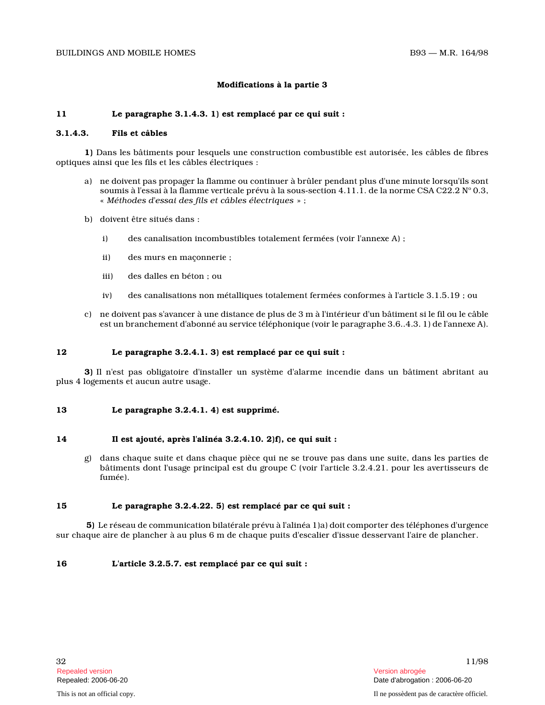## Modifications à la partie 3

## 11 Le paragraphe 3.1.4.3. 1) est remplacé par ce qui suit :

## 3.1.4.3. Fils et câbles

1) Dans les bâtiments pour lesquels une construction combustible est autorisée, les câbles de fibres optiques ainsi que les fils et les câbles électriques :

- a) ne doivent pas propager la flamme ou continuer à brûler pendant plus d'une minute lorsqu'ils sont soumis à l'essai à la flamme verticale prévu à la sous-section 4.11.1. de la norme CSA C22.2 N° 0.3, « Méthodes d'essai des fils et câbles électriques » ;
- b) doivent être situés dans :
	- i) des canalisation incombustibles totalement fermées (voir l'annexe A) ;
	- ii) des murs en maçonnerie ;
	- iii) des dalles en béton ; ou
	- iv) des canalisations non métalliques totalement fermées conformes à l'article 3.1.5.19 ; ou
- c) ne doivent pas s'avancer à une distance de plus de 3 m à l'intérieur d'un bâtiment si le fil ou le câble est un branchement d'abonné au service téléphonique (voir le paragraphe 3.6..4.3. 1) de l'annexe A).

## 12 Le paragraphe 3.2.4.1. 3) est remplacé par ce qui suit :

3) Il n'est pas obligatoire d'installer un système d'alarme incendie dans un bâtiment abritant au plus 4 logements et aucun autre usage.

## 13 Le paragraphe 3.2.4.1. 4) est supprimé.

#### 14 Il est ajouté, après l'alinéa 3.2.4.10. 2)f), ce qui suit :

g) dans chaque suite et dans chaque pièce qui ne se trouve pas dans une suite, dans les parties de bâtiments dont l'usage principal est du groupe C (voir l'article 3.2.4.21. pour les avertisseurs de fumée).

## 15 Le paragraphe 3.2.4.22. 5) est remplacé par ce qui suit :

5) Le réseau de communication bilatérale prévu à l'alinéa 1)a) doit comporter des téléphones d'urgence sur chaque aire de plancher à au plus 6 m de chaque puits d'escalier d'issue desservant l'aire de plancher.

#### 16 L'article 3.2.5.7. est remplacé par ce qui suit :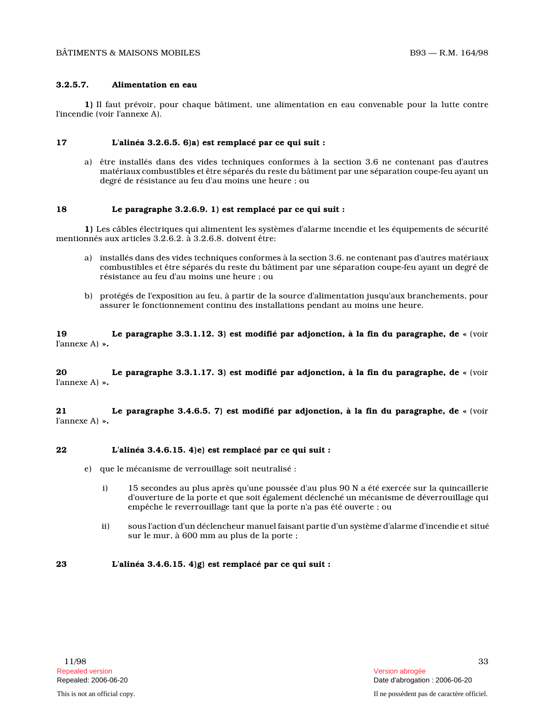# 3.2.5.7. Alimentation en eau

1) Il faut prévoir, pour chaque bâtiment, une alimentation en eau convenable pour la lutte contre l'incendie (voir l'annexe A).

## 17 L'alinéa 3.2.6.5. 6)a) est remplacé par ce qui suit :

a) être installés dans des vides techniques conformes à la section 3.6 ne contenant pas d'autres matériaux combustibles et être séparés du reste du bâtiment par une séparation coupe-feu ayant un degré de résistance au feu d'au moins une heure ; o u

## 18 Le paragraphe 3.2.6.9. 1) est remplacé par ce qui suit :

1) Les câbles électriques qui alimentent les systèmes d'alarme incendie et les équipements de sécurité mentionnés aux articles 3.2.6.2. à 3.2.6.8. doivent être:

- a) installés dans des vides techniques conformes à la section 3.6. ne contenant pas d'autres matériaux combustibles et être séparés du reste du bâtiment par une séparation coupe-feu ayant un degré de résistance au feu d'au moins une heure ; ou
- b) protégés de l'exposition au feu, à partir de la source d'alimentation jusqu'aux branchements, pour assurer le fonctionnement continu des installations pendant au moins une heure.

19 Le paragraphe 3.3.1.12. 3) est modifié par adjonction, à la fin du paragraphe, de « (voir l'annexe A) ».

20 Le paragraphe 3.3.1.17. 3) est modifié par adjonction, à la fin du paragraphe, de « (voir l'annexe A) ».

21 Le paragraphe 3.4.6.5. 7) est modifié par adjonction, à la fin du paragraphe, de « (voir l'annexe A) ».

## 22 L'alinéa 3.4.6.15. 4)e) est remplacé par ce qui suit :

- e) que le mécanisme de verrouillage soit neutralisé :
	- i) 15 secondes au plus après qu'une poussée d'au plus 90 N a été exercée sur la quincaillerie d'ouverture de la porte et que soit également déclenché un mécanisme de déverrouillage qui empêche le reverrouillage tant que la porte n'a pas été ouverte ; ou
	- ii) sous l'action d'un déclencheur manuel faisant partie d'un système d'alarme d'incendie et situé sur le mur, à 600 mm au plus de la porte ;

## 23 L'alinéa 3.4.6.15. 4)g) est remplacé par ce qui suit :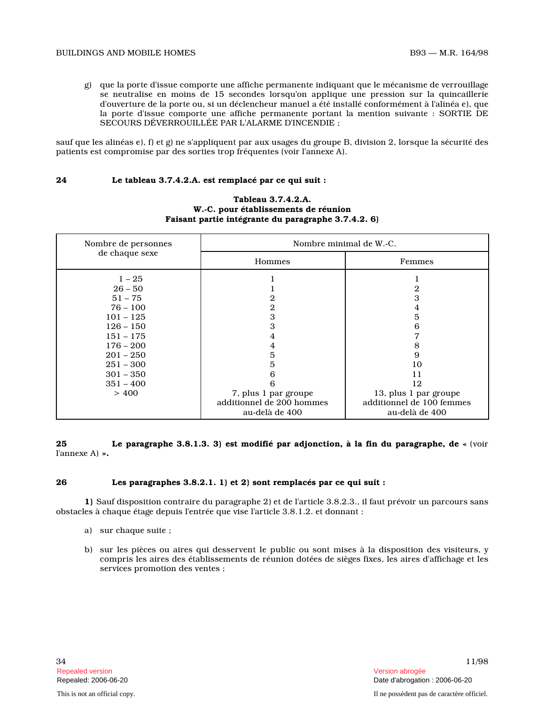g) que la porte d'issue comporte une affiche permanente indiquant que le mécanisme de verrouillage se neutralise en moins de 15 secondes lorsqu'on applique une pression sur la quincaillerie d'ouverture de la porte ou, si un déclencheur manuel a été installé conformément à l'alinéa e), que la porte d'issue comporte une affiche permanente portant la mention suivante : SORTIE DE SECOURS DÉVERROUILLÉE PAR L'ALARME D'INCENDIE ;

sauf que les alinéas e), f) et g) ne s'appliquent par aux usages du groupe B, division 2, lorsque la sécurité des patients est compromise par des sorties trop fréquentes (voir l'annexe A).

# 24 Le tableau 3.7.4.2.A. est remplacé par ce qui suit :

### Tableau 3.7.4.2.A. W.-C. pour établissements de réunion Faisant partie intégrante du paragraphe 3.7.4.2. 6)

| Nombre de personnes                                                                                                                                                      | Nombre minimal de W.-C.                                             |                                                                      |  |
|--------------------------------------------------------------------------------------------------------------------------------------------------------------------------|---------------------------------------------------------------------|----------------------------------------------------------------------|--|
| de chaque sexe                                                                                                                                                           | Hommes                                                              | Femmes                                                               |  |
| $1 - 25$<br>$26 - 50$<br>$51 - 75$<br>$76 - 100$<br>$101 - 125$<br>$126 - 150$<br>$151 - 175$<br>$176 - 200$<br>$201 - 250$<br>$251 - 300$<br>$301 - 350$<br>$351 - 400$ | 2<br>3<br>3<br>4<br>5<br>5<br>6<br>6                                | 2<br>3<br>4<br>5<br>6<br>8<br>9<br>10<br>11<br>12                    |  |
| > 400                                                                                                                                                                    | 7, plus 1 par groupe<br>additionnel de 200 hommes<br>au-delà de 400 | 13, plus 1 par groupe<br>additionnel de 100 femmes<br>au-delà de 400 |  |

# 25 Le paragraphe 3.8.1.3. 3) est modifié par adjonction, à la fin du paragraphe, de « (voir l'annexe A) ».

# 26 Les paragraphes 3.8.2.1. 1) et 2) sont remplacés par ce qui suit :

1) Sauf disposition contraire du paragraphe 2) et de l'article 3.8.2.3., il faut prévoir un parcours sans obstacles à chaque étage depuis l'entrée que vise l'article 3.8.1.2. et donnant :

- a) sur chaque suite ;
- b) sur les pièces ou aires qui desservent le public ou sont mises à la disposition des visiteurs, y compris les aires des établissements de réunion dotées de sièges fixes, les aires d'affichage et les services promotion des ventes ;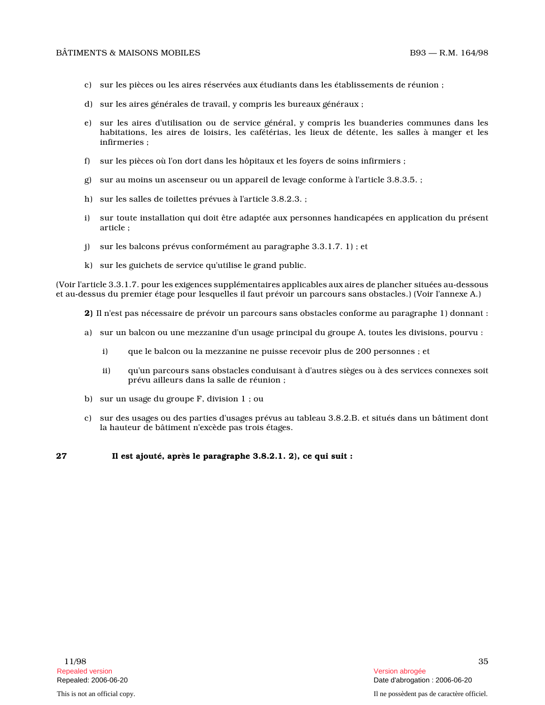- c) sur les pièces ou les aires réservées aux étudiants dans les établissements de réunion ;
- d) sur les aires générales de travail, y compris les bureaux généraux ;
- e) sur les aires d'utilisation ou de service général, y compris les buanderies communes dans les habitations, les aires de loisirs, les cafétérias, les lieux de détente, les salles à manger et les infirmeries ;
- f) sur les pièces où l'on dort dans les hôpitaux et les foyers de soins infirmiers ;
- g) sur au moins un ascenseur ou un appareil de levage conforme à l'article 3.8.3.5. ;
- h) sur les salles de toilettes prévues à l'article 3.8.2.3. ;
- i) sur toute installation qui doit être adaptée aux personnes handicapées en application du présent article ;
- j) sur les balcons prévus conformément au paragraphe 3.3.1.7. 1) ; et
- k) sur les guichets de service qu'utilise le grand public.

(Voir l'article 3.3.1.7. pour les exigences supplémentaires applicables aux aires de plancher situées au-dessous et au-dessus du premier étage pour lesquelles il faut prévoir un parcours sans obstacles.) (Voir l'annexe A.)

- 2) Il n'est pas nécessaire de prévoir un parcours sans obstacles conforme au paragraphe 1) donnant :
- a) sur un balcon ou une mezzanine d'un usage principal du groupe A, toutes les divisions, pourvu :
	- i) que le balcon ou la mezzanine ne puisse recevoir plus de 200 personnes ; et
	- ii) qu'un parcours sans obstacles conduisant à d'autres sièges ou à des services connexes soit prévu ailleurs dans la salle de réunion ;
- b) sur un usage du groupe F, division 1 ; ou
- c) sur des usages ou des parties d'usages prévus au tableau 3.8.2.B. et situés dans un bâtiment dont la hauteur de bâtiment n'excède pas trois étages.

# 27 Il est ajouté, après le paragraphe 3.8.2.1. 2), ce qui suit :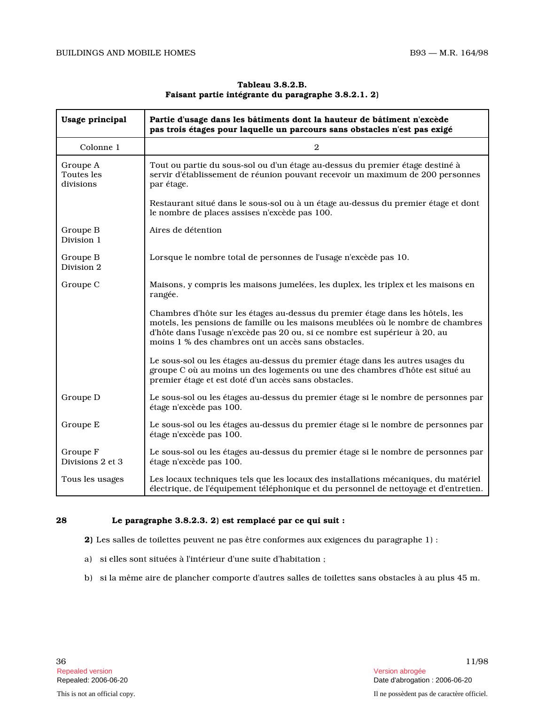| Usage principal                     | Partie d'usage dans les bâtiments dont la hauteur de bâtiment n'excède<br>pas trois étages pour laquelle un parcours sans obstacles n'est pas exigé                                                                                                                                                      |  |  |
|-------------------------------------|----------------------------------------------------------------------------------------------------------------------------------------------------------------------------------------------------------------------------------------------------------------------------------------------------------|--|--|
| Colonne 1                           | $\overline{2}$                                                                                                                                                                                                                                                                                           |  |  |
| Groupe A<br>Toutes les<br>divisions | Tout ou partie du sous-sol ou d'un étage au-dessus du premier étage destiné à<br>servir d'établissement de réunion pouvant recevoir un maximum de 200 personnes<br>par étage.                                                                                                                            |  |  |
|                                     | Restaurant situé dans le sous-sol ou à un étage au-dessus du premier étage et dont<br>le nombre de places assises n'excède pas 100.                                                                                                                                                                      |  |  |
| Groupe B<br>Division 1              | Aires de détention                                                                                                                                                                                                                                                                                       |  |  |
| Groupe B<br>Division 2              | Lorsque le nombre total de personnes de l'usage n'excède pas 10.                                                                                                                                                                                                                                         |  |  |
| Groupe C                            | Maisons, y compris les maisons jumelées, les duplex, les triplex et les maisons en<br>rangée.                                                                                                                                                                                                            |  |  |
|                                     | Chambres d'hôte sur les étages au-dessus du premier étage dans les hôtels, les<br>motels, les pensions de famille ou les maisons meublées où le nombre de chambres<br>d'hôte dans l'usage n'excède pas 20 ou, si ce nombre est supérieur à 20, au<br>moins 1 % des chambres ont un accès sans obstacles. |  |  |
|                                     | Le sous-sol ou les étages au-dessus du premier étage dans les autres usages du<br>groupe C où au moins un des logements ou une des chambres d'hôte est situé au<br>premier étage et est doté d'un accès sans obstacles.                                                                                  |  |  |
| Groupe D                            | Le sous-sol ou les étages au-dessus du premier étage si le nombre de personnes par<br>étage n'excède pas 100.                                                                                                                                                                                            |  |  |
| Groupe E                            | Le sous-sol ou les étages au-dessus du premier étage si le nombre de personnes par<br>étage n'excède pas 100.                                                                                                                                                                                            |  |  |
| Groupe F<br>Divisions 2 et 3        | Le sous-sol ou les étages au-dessus du premier étage si le nombre de personnes par<br>étage n'excède pas 100.                                                                                                                                                                                            |  |  |
| Tous les usages                     | Les locaux techniques tels que les locaux des installations mécaniques, du matériel<br>électrique, de l'équipement téléphonique et du personnel de nettoyage et d'entretien.                                                                                                                             |  |  |

Tableau 3.8.2.B. Faisant partie intégrante du paragraphe 3.8.2.1. 2)

# 28 Le paragraphe 3.8.2.3. 2) est remplacé par ce qui suit :

- 2) Les salles de toilettes peuvent ne pas être conformes aux exigences du paragraphe 1) :
- a) si elles sont situées à l'intérieur d'une suite d'habitation ;
- b) si la même aire de plancher comporte d'autres salles de toilettes sans obstacles à au plus 45 m.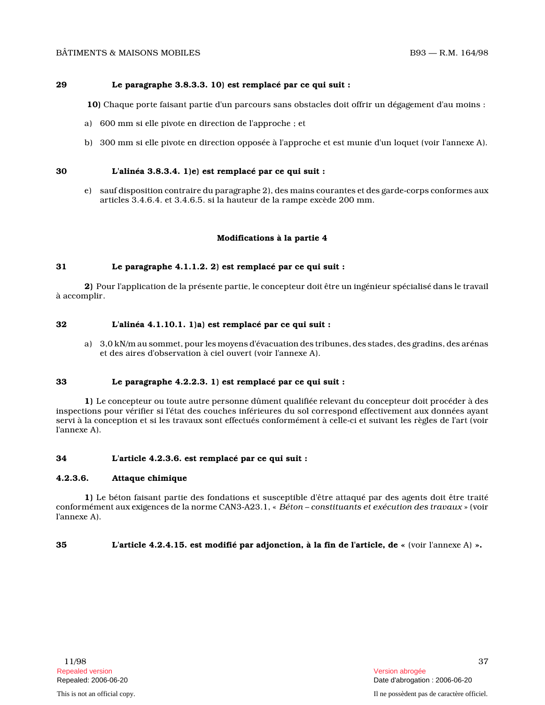## 29 Le paragraphe 3.8.3.3. 10) est remplacé par ce qui suit :

10) Chaque porte faisant partie d'un parcours sans obstacles doit offrir un dégagement d'au moins :

- a) 600 mm si elle pivote en direction de l'approche ; et
- b) 300 mm si elle pivote en direction opposée à l'approche et est munie d'un loquet (voir l'annexe A).

# 30 L'alinéa 3.8.3.4. 1)e) est remplacé par ce qui suit :

e) sauf disposition contraire du paragraphe 2), des mains courantes et des garde-corps conformes aux articles 3.4.6.4. et 3.4.6.5. si la hauteur de la rampe excède 200 mm.

## Modifications à la partie 4

# 31 Le paragraphe 4.1.1.2. 2) est remplacé par ce qui suit :

2) Pour l'application de la présente partie, le concepteur doit être un ingénieur spécialisé dans le travail à accomplir.

## 32 L'alinéa 4.1.10.1. 1)a) est remplacé par ce qui suit :

a) 3,0 kN/m au sommet, pour les moyens d'évacuation des tribunes, des stades, des gradins, des arénas et des aires d'observation à ciel ouvert (voir l'annexe A).

# 33 Le paragraphe 4.2.2.3. 1) est remplacé par ce qui suit :

1) Le concepteur ou toute autre personne dûment qualifiée relevant du concepteur doit procéder à des inspections pour vérifier si l'état des couches inférieures du sol correspond effectivement aux données ayant servi à la conception et si les travaux sont effectués conformément à celle-ci et suivant les règles de l'art (voir l'annexe A).

## 34 L'article 4.2.3.6. est remplacé par ce qui suit :

## 4.2.3.6. Attaque chimique

1) Le béton faisant partie des fondations et susceptible d'être attaqué par des agents doit être traité conformément aux exigences de la norme CAN3-A23.1, « *Béton – constituants et exécution des travaux »* (voir l'annexe A).

## 35 L'article 4.2.4.15. est modifié par adjonction, à la fin de l'article, de « (voir l'annexe A) ».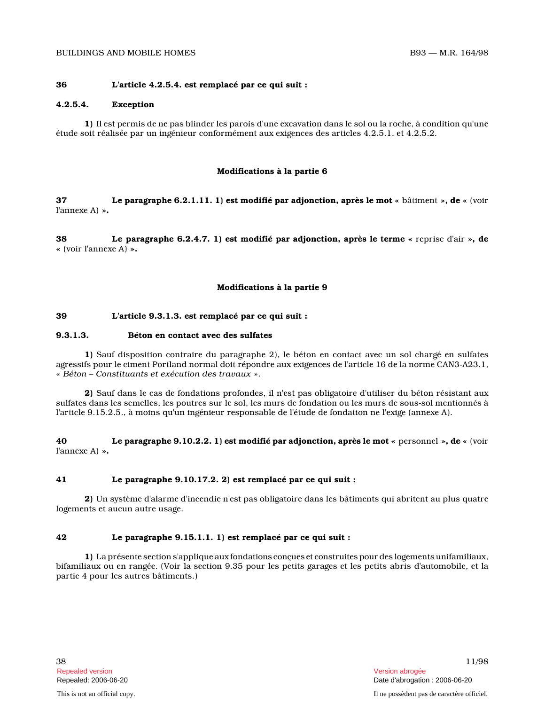# 36 L'article 4.2.5.4. est remplacé par ce qui suit :

# 4.2.5.4. Exception

1) Il est permis de ne pas blinder les parois d'une excavation dans le sol ou la roche, à condition qu'un e étude soit réalisée par un ingénieur conformément aux exigences des articles 4.2.5.1. et 4.2.5.2.

## Modifications à la partie 6

37 Le paragraphe 6.2.1.11. 1) est modifié par adjonction, après le mot « bâtiment », de « (voir l'annexe A) ».

38 Le paragraphe 6.2.4.7. 1) est modifié par adjonction, après le terme « reprise d'air », de « (voir l'annexe A) ».

## Modifications à la partie 9

## 39 L'article 9.3.1.3. est remplacé par ce qui suit :

#### 9.3.1.3. Béton en contact avec des sulfates

1) Sauf disposition contraire du paragraphe 2), le béton en contact avec un sol chargé en sulfates agressifs pour le ciment Portland normal doit répondre aux exigences de l'article 16 de la norme CAN3-A23.1, « Béton – Constituants et exécution des travaux ».

2) Sauf dans le cas de fondations profondes, il n'est pas obligatoire d'utiliser du béton résistant aux sulfates dans les semelles, les poutres sur le sol, les murs de fondation ou les murs de sous-sol mentionnés à l'article 9.15.2.5., à moins qu'un ingénieur responsable de l'étude de fondation ne l'exige (annexe A) .

40 Le paragraphe 9.10.2.2. 1) est modifié par adjonction, après le mot « personnel », de « (voir l'annexe A) ».

# 41 Le paragraphe 9.10.17.2. 2) est remplacé par ce qui suit :

2) Un système d'alarme d'incendie n'est pas obligatoire dans les bâtiments qui abritent au plus quatre logements et aucun autre usage.

# 42 Le paragraphe 9.15.1.1. 1) est remplacé par ce qui suit :

1) La présente section s'applique aux fondations conçues et construites pour des logements unifamiliaux, bifamiliaux ou en rangée. (Voir la section 9.35 pour les petits garages et les petits abris d'automobile, et la partie 4 pour les autres bâtiments.)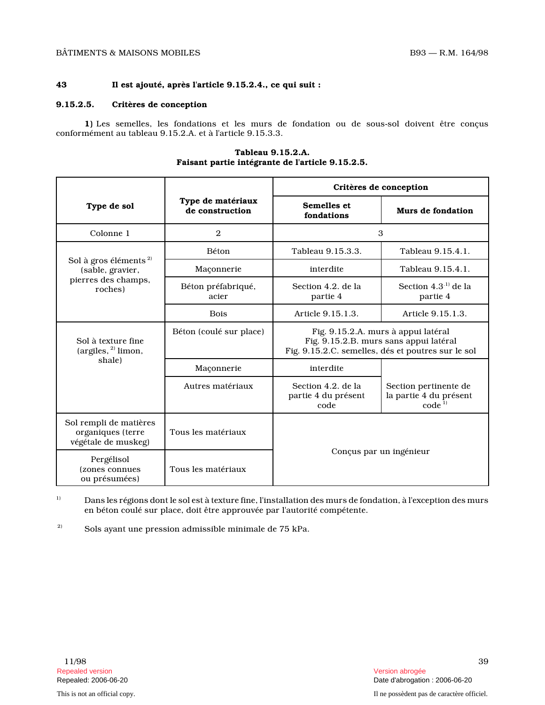# 43 Il est ajouté, après l'article 9.15.2.4., ce qui suit :

# 9.15.2.5. Critères de conception

1) Les semelles, les fondations et les murs de fondation ou de sous-sol doivent être conçus conformément au tableau 9.15.2.A. et à l'article 9.15.3.3.

|                                                                    |                                      | Critères de conception                                                                                                              |                                                               |
|--------------------------------------------------------------------|--------------------------------------|-------------------------------------------------------------------------------------------------------------------------------------|---------------------------------------------------------------|
| Type de sol                                                        | Type de matériaux<br>de construction | Semelles et<br>fondations                                                                                                           | Murs de fondation                                             |
| Colonne 1                                                          | $\mathbf{2}$                         |                                                                                                                                     | 3                                                             |
|                                                                    | Béton                                | Tableau 9.15.3.3.                                                                                                                   | Tableau 9.15.4.1.                                             |
| Sol à gros éléments <sup>2)</sup><br>(sable, gravier,              | Maçonnerie                           | interdite                                                                                                                           | Tableau 9.15.4.1.                                             |
| pierres des champs,<br>roches)                                     | Béton préfabriqué,<br>acier          | Section 4.2, de la<br>partie 4                                                                                                      | Section $4.311$ de la<br>partie 4                             |
|                                                                    | <b>Bois</b>                          | Article 9.15.1.3.                                                                                                                   | Article 9.15.1.3.                                             |
| Sol à texture fine<br>$(\text{argiles}, \frac{2}{3})$ limon,       | Béton (coulé sur place)              | Fig. 9.15.2.A. murs à appui latéral<br>Fig. 9.15.2.B. murs sans appui latéral<br>Fig. 9.15.2.C. semelles, dés et poutres sur le sol |                                                               |
| shale)                                                             | Maçonnerie                           | interdite                                                                                                                           |                                                               |
|                                                                    | Autres matériaux                     | Section 4.2. de la<br>partie 4 du présent<br>code                                                                                   | Section pertinente de<br>la partie 4 du présent<br>$code^{1}$ |
| Sol rempli de matières<br>organiques (terre<br>végétale de muskeg) | Tous les matériaux                   | Conçus par un ingénieur                                                                                                             |                                                               |
| Pergélisol<br>(zones connues<br>ou présumées)                      | Tous les matériaux                   |                                                                                                                                     |                                                               |

Tableau 9.15.2.A. Faisant partie intégrante de l'article 9.15.2.5.

1) Dans les régions dont le sol est à texture fine, l'installation des murs de fondation, à l'exception des murs en béton coulé sur place, doit être approuvée par l'autorité compétente.

<sup>2)</sup> Sols ayant une pression admissible minimale de 75 kPa.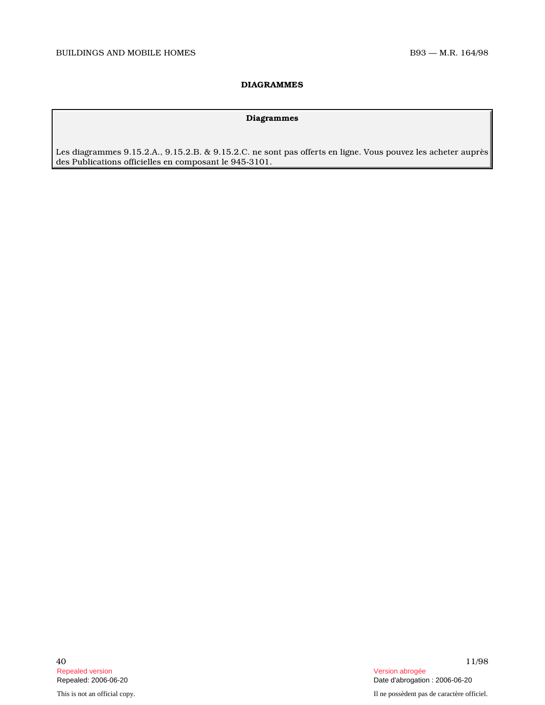## DIAGRAMMES

# Diagrammes

Les diagrammes 9.15.2.A., 9.15.2.B. & 9.15.2.C. ne sont pas offerts en ligne. Vous pouvez les acheter auprès des Publications officielles en composant le 945-3101.

This is not an official copy. Il ne possèdent pas de caractère officiel.

Date d'abrogation : 2006-06-20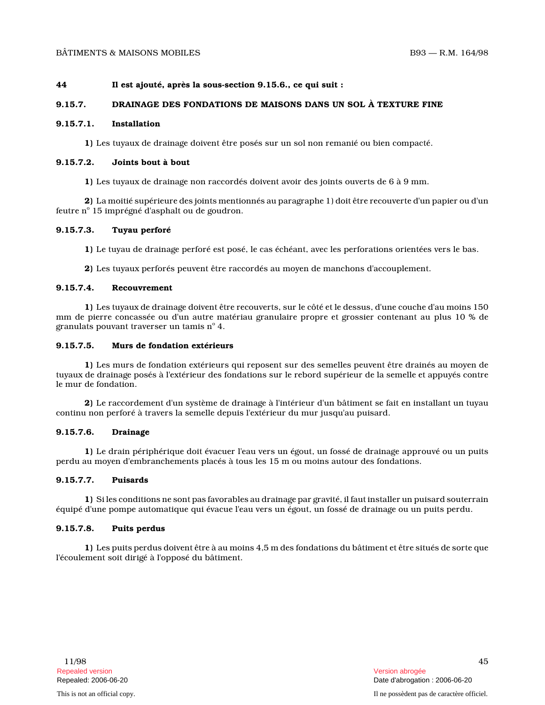# 44 Il est ajouté, après la sous-section 9.15.6., ce qui suit :

# 9.15.7. DRAINAGE DES FONDATIONS DE MAISONS DANS UN SOL À TEXTURE FINE

## 9.15.7.1. Installation

1) Les tuyaux de drainage doivent être posés sur un sol non remanié ou bien compacté.

## 9.15.7.2. Joints bout à bout

1) Les tuyaux de drainage non raccordés doivent avoir des joints ouverts de 6 à 9 mm.

2) La moitié supérieure des joints mentionnés au paragraphe 1) doit être recouverte d'un papier ou d'un feutre n° 15 imprégné d'asphalt ou de goudron.

## 9.15.7.3. Tuyau perforé

1) Le tuyau de drainage perforé est posé, le cas échéant, avec les perforations orientées vers le bas.

2) Les tuyaux perforés peuvent être raccordés au moyen de manchons d'accouplement.

## 9.15.7.4. Recouvrement

1) Les tuyaux de drainage doivent être recouverts, sur le côté et le dessus, d'une couche d'au moins 150 mm de pierre concassée ou d'un autre matériau granulaire propre et grossier contenant au plus 10 % de granulats pouvant traverser un tamis n° 4.

#### 9.15.7.5. Murs de fondation extérieurs

1) Les murs de fondation extérieurs qui reposent sur des semelles peuvent être drainés au moyen de tuyaux de drainage posés à l'extérieur des fondations sur le rebord supérieur de la semelle et appuyés contre le mur de fondation.

2) Le raccordement d'un système de drainage à l'intérieur d'un bâtiment se fait en installant un tuyau continu non perforé à travers la semelle depuis l'extérieur du mur jusqu'au puisard.

## 9.15.7.6. Drainage

1) Le drain périphérique doit évacuer l'eau vers un égout, un fossé de drainage approuvé ou un puits perdu au moyen d'embranchements placés à tous les 15 m ou moins autour des fondations.

# 9.15.7.7. Puisards

1) Si les conditions ne sont pas favorables au drainage par gravité, il faut installer un puisard souterrain équipé d'une pompe automatique qui évacue l'eau vers un égout, un fossé de drainage ou un puits perdu.

# 9.15.7.8. Puits perdus

1) Les puits perdus doivent être à au moins 4,5 m des fondations du bâtiment et être situés de sorte que l'écoulement soit dirigé à l'opposé du bâtiment.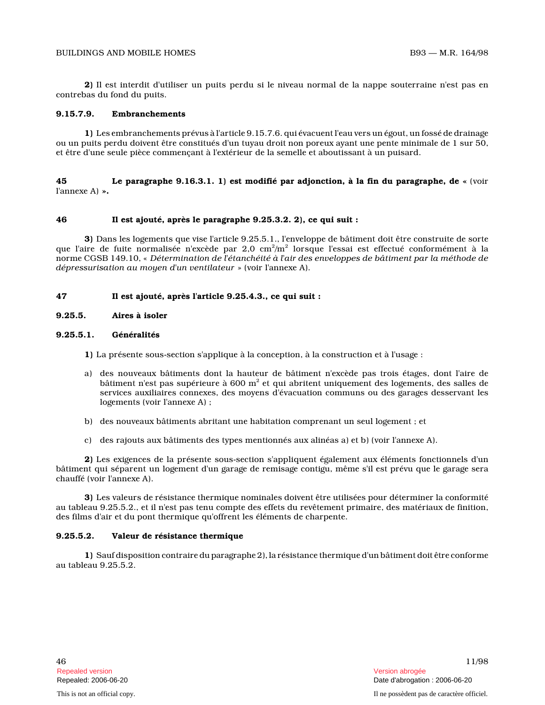2) Il est interdit d'utiliser un puits perdu si le niveau normal de la nappe souterraine n'est pas en contrebas du fond du puits.

## 9.15.7.9. Embranchements

1) Les embranchements prévus à l'article 9.15.7.6. qui évacuent l'eau vers un égout, un fossé de drainage ou un puits perdu doivent être constitués d'un tuyau droit non poreux ayant une pente minimale de 1 sur 50, et être d'une seule pièce commençant à l'extérieur de la semelle et aboutissant à un puisard.

45 Le paragraphe 9.16.3.1. 1) est modifié par adjonction, à la fin du paragraphe, de « (voir l'annexe A) ».

## 46 Il est ajouté, après le paragraphe 9.25.3.2. 2), ce qui suit :

3) Dans les logements que vise l'article 9.25.5.1., l'enveloppe de bâtiment doit être construite de sorte que l'aire de fuite normalisée n'excède par 2,0 cm $^2\!/\mathrm{m}^2$  lorsque l'essai est effectué conformément à la norme CGSB 149.10, « Détermination de l'étanchéité à l'air des enveloppes de bâtiment par la méthode de dépressurisation au moyen d'un ventilateur » (voir l'annexe A).

## 47 Il est ajouté, après l'article 9.25.4.3., ce qui suit :

## 9.25.5. Aires à isoler

### 9.25.5.1. Généralités

1) La présente sous-section s'applique à la conception, à la construction et à l'usage :

- a) des nouveaux bâtiments dont la hauteur de bâtiment n'excède pas trois étages, dont l'aire de bâtiment n'est pas supérieure à 600 m $^2$  et qui abritent uniquement des logements, des salles de services auxiliaires connexes, des moyens d'évacuation communs ou des garages desservant les logements (voir l'annexe A) ;
- b) des nouveaux bâtiments abritant une habitation comprenant un seul logement ; et
- c) des rajouts aux bâtiments des types mentionnés aux alinéas a) et b) (voir l'annexe A).

2) Les exigences de la présente sous-section s'appliquent également aux éléments fonctionnels d'un bâtiment qui séparent un logement d'un garage de remisage contigu, même s'il est prévu que le garage sera chauffé (voir l'annexe A).

3) Les valeurs de résistance thermique nominales doivent être utilisées pour déterminer la conformité au tableau 9.25.5.2., et il n'est pas tenu compte des effets du revêtement primaire, des matériaux de finition, des films d'air et du pont thermique qu'offrent les éléments de charpente.

## 9.25.5.2. Valeur de résistance thermique

1) Sauf disposition contraire du paragraphe 2), la résistance thermique d'un bâtiment doit être conforme au tableau 9.25.5.2.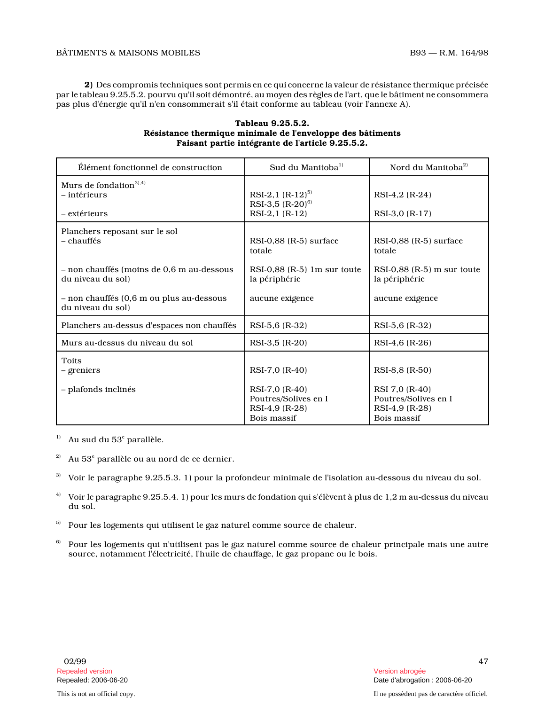2) Des compromis techniques sont permis en ce qui concerne la valeur de résistance thermique précisée par le tableau 9.25.5.2. pourvu qu'il soit démontré, au moyen des règles de l'art, que le bâtiment ne consommera pas plus d'énergie qu'il n'en consommerait s'il était conforme au tableau (voir l'annexe A).

## Tableau 9.25.5.2. Résistance thermique minimale de l'enveloppe des bâtiments Faisant partie intégrante de l'article 9.25.5.2.

| Élément fonctionnel de construction                            | Sud du Manitoba <sup>1)</sup>                                           | Nord du Manitoba <sup>2)</sup>                                          |
|----------------------------------------------------------------|-------------------------------------------------------------------------|-------------------------------------------------------------------------|
| Murs de fondation $3,4)$<br>– intérieurs<br>– extérieurs       | RSI-2,1 $(R-12)^{5}$<br>RSI-3,5 $(R-20)^{6}$<br>$RSI-2,1 (R-12)$        | RSI-4,2 (R-24)<br>$RSI-3.0 (R-17)$                                      |
| Planchers reposant sur le sol<br>- chauffés                    | $RSI-0,88$ (R-5) surface<br>totale                                      | $RSI-0,88$ (R-5) surface<br>totale                                      |
| – non chauffés (moins de 0,6 m au-dessous<br>du niveau du sol) | RSI-0,88 $(R-5)$ 1m sur toute<br>la périphérie                          | $RSI-0.88$ $(R-5)$ m sur toute<br>la périphérie                         |
| – non chauffés (0,6 m ou plus au-dessous<br>du niveau du sol)  | aucune exigence                                                         | aucune exigence                                                         |
| Planchers au-dessus d'espaces non chauffés                     | $RSI-5,6 (R-32)$                                                        | RSI-5,6 (R-32)                                                          |
| Murs au-dessus du niveau du sol                                | $RSI-3.5 (R-20)$                                                        | RSI-4.6 (R-26)                                                          |
| Toits<br>– greniers                                            | RSI-7,0 (R-40)                                                          | RSI-8,8 (R-50)                                                          |
| - plafonds inclinés                                            | RSI-7,0 (R-40)<br>Poutres/Solives en I<br>RSI-4,9 (R-28)<br>Bois massif | RSI 7,0 (R-40)<br>Poutres/Solives en I<br>RSI-4,9 (R-28)<br>Bois massif |

 $^{1)}$  Au sud du 53<sup>e</sup> parallèle.

 $^{2)}$  Au 53 $^{\rm e}$  parallèle ou au nord de ce dernier.

- $^{\rm 3)}~$  Voir le paragraphe 9.25.5.3. 1) pour la profondeur minimale de l'isolation au-dessous du niveau du sol.
- 4) Voir le paragraphe 9.25.5.4. 1) pour les murs de fondation qui s'élèvent à plus de 1,2 m au-dessus du niveau du sol.
- <sup>5)</sup> Pour les logements qui utilisent le gaz naturel comme source de chaleur.
- $^{6)}$   $\,$  Pour les logements qui n'utilisent pas le gaz naturel comme source de chaleur principale mais une autre source, notamment l'électricité, l'huile de chauffage, le gaz propane ou le bois.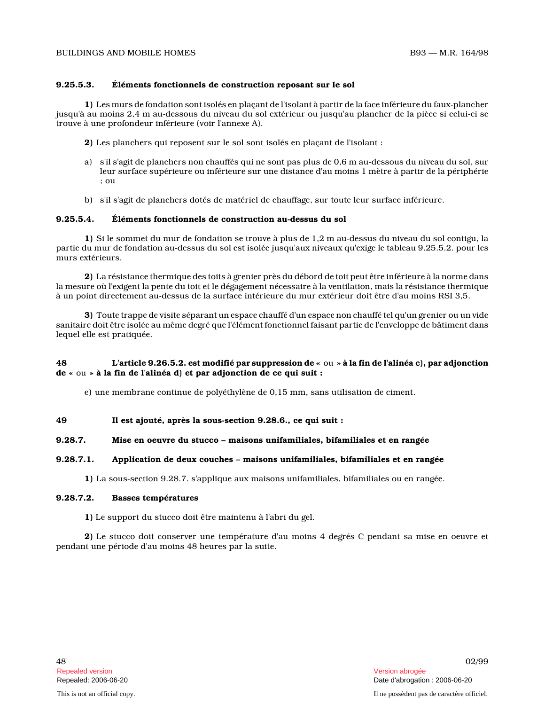## 9.25.5.3. Éléments fonctionnels de construction reposant sur le sol

1) Les murs de fondation sont isolés en plaçant de l'isolant à partir de la face inférieure du faux-plancher jusqu'à au moins 2,4 m au-dessous du niveau du sol extérieur ou jusqu'au plancher de la pièce si celui-ci se trouve à une profondeur inférieure (voir l'annexe A).

- 2) Les planchers qui reposent sur le sol sont isolés en plaçant de l'isolant :
- a) s'il s'agit de planchers non chauffés qui ne sont pas plus de 0,6 m au-dessous du niveau du sol, sur leur surface supérieure ou inférieure sur une distance d'au moins 1 mètre à partir de la périphérie ; ou
- b) s'il s'agit de planchers dotés de matériel de chauffage, sur toute leur surface inférieure.

#### 9.25.5.4. Éléments fonctionnels de construction au-dessus du sol

1) Si le sommet du mur de fondation se trouve à plus de 1,2 m au-dessus du niveau du sol contigu, la partie du mur de fondation au-dessus du sol est isolée jusqu'aux niveaux qu'exige le tableau 9.25.5.2. pour les murs extérieurs.

 $\bf 2)$  La résistance thermique des toits à grenier près du débord de toit peut être inférieure à la norme dans la mesure où l'exigent la pente du toit et le dégagement nécessaire à la ventilation, mais la résistance thermique à un point directement au-dessus de la surface intérieure du mur extérieur doit être d'au moins RSI 3,5.

3) Toute trappe de visite séparant un espace chauffé d'un espace non chauffé tel qu'un grenier ou un vide sanitaire doit être isolée au même degré que l'élément fonctionnel faisant partie de l'enveloppe de bâtiment dans lequel elle est pratiquée.

# 48 L'article 9.26.5.2. est modifié par suppression de « ou » à la fin de l'alinéa c), par adjonction de « ou » à la fin de l'alinéa d) et par adjonction de ce qui suit :

e) une membrane continue de polyéthylène de 0,15 mm, sans utilisation de ciment.

## 49 Il est ajouté, après la sous-section 9.28.6., ce qui suit :

## 9.28.7. Mise en oeuvre du stucco – maisons unifamiliales, bifamiliales et en rangée

#### 9.28.7.1. Application de deux couches – maisons unifamiliales, bifamiliales et en rangée

1) La sous-section 9.28.7. s'applique aux maisons unifamiliales, bifamiliales ou en rangée.

## 9.28.7.2. Basses températures

1) Le support du stucco doit être maintenu à l'abri du gel.

2) Le stucco doit conserver une température d'au moins 4 degrés C pendant sa mise en oeuvre et pendant une période d'au moins 48 heures par la suite.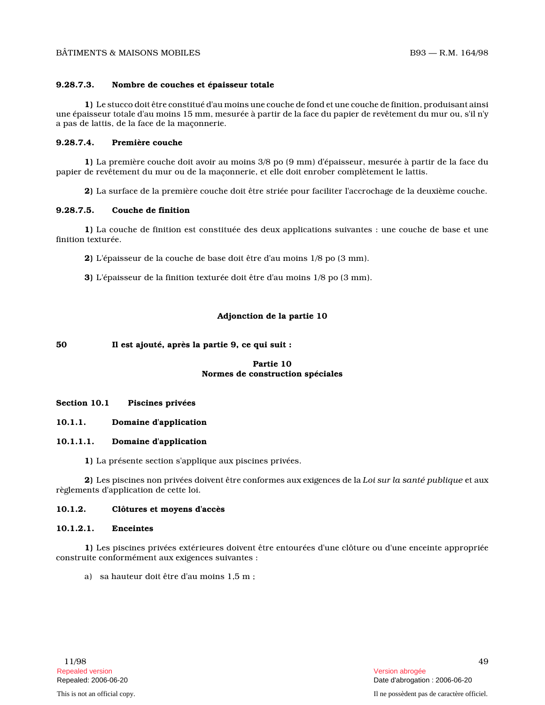## 9.28.7.3. Nombre de couches et épaisseur totale

1) Le stucco doit être constitué d'au moins une couche de fond et une couche de finition, produisant ains i une épaisseur totale d'au moins 15 mm, mesurée à partir de la face du papier de revêtement du mur ou, s'il n'y a pas de lattis, de la face de la maçonnerie.

## 9.28.7.4. Première couche

1) La première couche doit avoir au moins 3/8 po (9 mm) d'épaisseur, mesurée à partir de la face du papier de revêtement du mur ou de la maçonnerie, et elle doit enrober complètement le lattis.

2) La surface de la première couche doit être striée pour faciliter l'accrochage de la deuxième couche.

## 9.28.7.5. Couche de finition

1) La couche de finition est constituée des deux applications suivantes : une couche de base et une finition texturée.

- 2) L'épaisseur de la couche de base doit être d'au moins 1/8 po (3 mm).
- 3) L'épaisseur de la finition texturée doit être d'au moins 1/8 po (3 mm).

# Adjonction de la partie 10

# 50 Il est ajouté, après la partie 9, ce qui suit :

# Partie 10 Normes de construction spéciales

## Section 10.1 Piscines privées

# 10.1.1. Domaine d'application

## 10.1.1.1. Domaine d'application

1) La présente section s'applique aux piscines privées .

2) Les piscines non privées doivent être conformes aux exigences de la Loi sur la santé publique et aux règlements d'application de cette loi.

## 10.1.2. Clôtures et moyens d'accès

# 10.1.2.1. Enceintes

1) Les piscines privées extérieures doivent être entourées d'une clôture ou d'une enceinte appropriée construite conformément aux exigences suivantes :

a) sa hauteur doit être d'au moins 1,5 m ;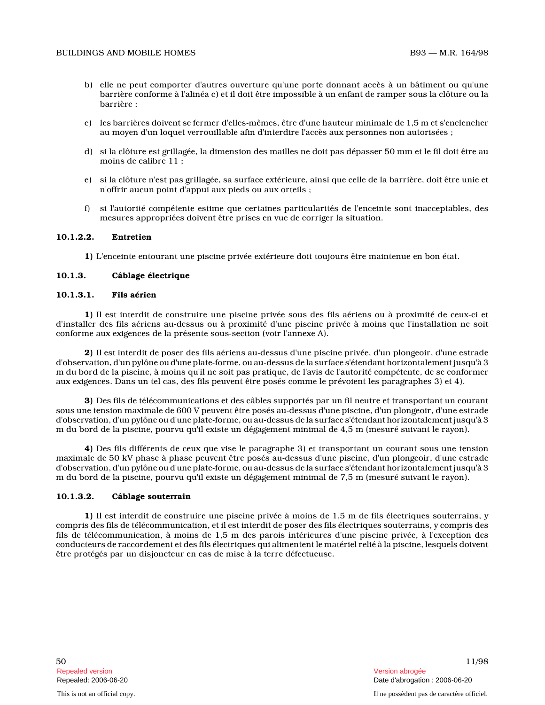- b) elle ne peut comporter d'autres ouverture qu'une porte donnant accès à un bâtiment ou qu'une barrière conforme à l'alinéa c) et il doit être impossible à un enfant de ramper sous la clôture ou la barrière ;
- c) les barrières doivent se fermer d'elles-mêmes, être d'une hauteur minimale de 1,5 m et s'enclencher au moyen d'un loquet verrouillable afin d'interdire l'accès aux personnes non autorisées ;
- d) si la clôture est grillagée, la dimension des mailles ne doit pas dépasser 50 mm et le fil doit être au moins de calibre 11 ;
- e) si la clôture n'est pas grillagée, sa surface extérieure, ainsi que celle de la barrière, doit être unie et n'offrir aucun point d'appui aux pieds ou aux orteils ;
- f) si l'autorité compétente estime que certaines particularités de l'enceinte sont inacceptables, des mesures appropriées doivent être prises en vue de corriger la situation.

### 10.1.2.2. Entretien

1) L'enceinte entourant une piscine privée extérieure doit toujours être maintenue en bon état.

## 10.1.3. Câblage électrique

# 10.1.3.1. Fils aérien

1) Il est interdit de construire une piscine privée sous des fils aériens ou à proximité de ceux-ci et d'installer des fils aériens au-dessus ou à proximité d'une piscine privée à moins que l'installation ne soit conforme aux exigences de la présente sous-section (voir l'annexe A).

2) Il est interdit de poser des fils aériens au-dessus d'une piscine privée, d'un plongeoir, d'une estrad e d'observation, d'un pylône ou d'une plate-forme, ou au-dessus de la surface s'étendant horizontalement jusqu'à 3 m du bord de la piscine, à moins qu'il ne soit pas pratique, de l'avis de l'autorité compétente, de se conformer aux exigences. Dans un tel cas, des fils peuvent être posés comme le prévoient les paragraphes 3) et 4).

3) Des fils de télécommunications et des câbles supportés par un fil neutre et transportant un courant sous une tension maximale de 600 V peuvent être posés au-dessus d'une piscine, d'un plongeoir, d'une estrade d'observation, d'un pylône ou d'une plate-forme, ou au-dessus de la surface s'étendant horizontalement jusqu'à 3 m du bord de la piscine, pourvu qu'il existe un dégagement minimal de 4,5 m (mesuré suivant le rayon).

4) Des fils différents de ceux que vise le paragraphe 3) et transportant un courant sous une tension maximale de 50 kV phase à phase peuvent être posés au-dessus d'une piscine, d'un plongeoir, d'une estrade d'observation, d'un pylône ou d'une plate-forme, ou au-dessus de la surface s'étendant horizontalement jusqu'à 3 m du bord de la piscine, pourvu qu'il existe un dégagement minimal de 7,5 m (mesuré suivant le rayon).

## 10.1.3.2. Câblage souterrain

1) Il est interdit de construire une piscine privée à moins de 1,5 m de fils électriques souterrains, y compris des fils de télécommunication, et il est interdit de poser des fils électriques souterrains, y compris des fils de télécommunication, à moins de 1,5 m des parois intérieures d'une piscine privée, à l'exception des conducteurs de raccordement et des fils électriques qui alimentent le matériel relié à la piscine, lesquels doivent être protégés par un disjoncteur en cas de mise à la terre défectueuse.